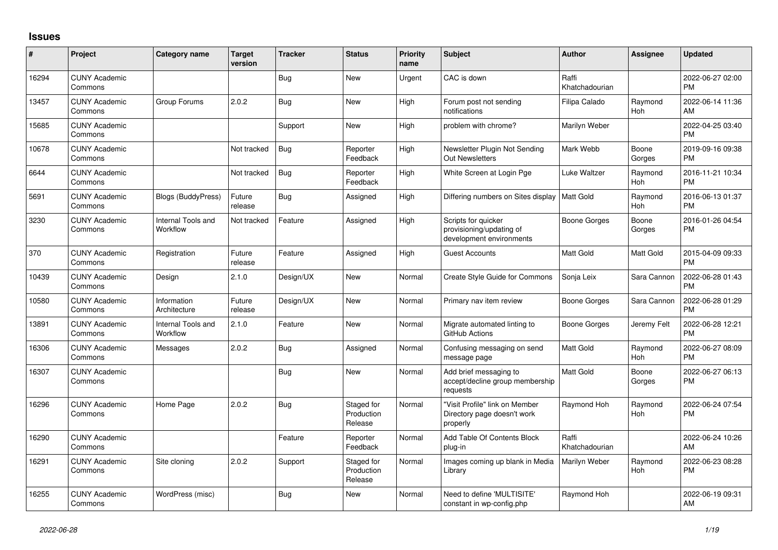## **Issues**

| ∦     | Project                         | <b>Category name</b>           | <b>Target</b><br>version | <b>Tracker</b> | <b>Status</b>                       | <b>Priority</b><br>name | <b>Subject</b>                                                              | <b>Author</b>           | Assignee              | <b>Updated</b>                |
|-------|---------------------------------|--------------------------------|--------------------------|----------------|-------------------------------------|-------------------------|-----------------------------------------------------------------------------|-------------------------|-----------------------|-------------------------------|
| 16294 | <b>CUNY Academic</b><br>Commons |                                |                          | <b>Bug</b>     | New                                 | Urgent                  | CAC is down                                                                 | Raffi<br>Khatchadourian |                       | 2022-06-27 02:00<br><b>PM</b> |
| 13457 | <b>CUNY Academic</b><br>Commons | Group Forums                   | 2.0.2                    | <b>Bug</b>     | <b>New</b>                          | High                    | Forum post not sending<br>notifications                                     | Filipa Calado           | Raymond<br>Hoh        | 2022-06-14 11:36<br>AM        |
| 15685 | <b>CUNY Academic</b><br>Commons |                                |                          | Support        | <b>New</b>                          | High                    | problem with chrome?                                                        | Marilyn Weber           |                       | 2022-04-25 03:40<br><b>PM</b> |
| 10678 | <b>CUNY Academic</b><br>Commons |                                | Not tracked              | <b>Bug</b>     | Reporter<br>Feedback                | High                    | Newsletter Plugin Not Sending<br>Out Newsletters                            | Mark Webb               | Boone<br>Gorges       | 2019-09-16 09:38<br><b>PM</b> |
| 6644  | <b>CUNY Academic</b><br>Commons |                                | Not tracked              | <b>Bug</b>     | Reporter<br>Feedback                | High                    | White Screen at Login Pge                                                   | <b>Luke Waltzer</b>     | Raymond<br>Hoh        | 2016-11-21 10:34<br><b>PM</b> |
| 5691  | <b>CUNY Academic</b><br>Commons | <b>Blogs (BuddyPress)</b>      | Future<br>release        | <b>Bug</b>     | Assigned                            | High                    | Differing numbers on Sites display                                          | Matt Gold               | Raymond<br>Hoh        | 2016-06-13 01:37<br><b>PM</b> |
| 3230  | <b>CUNY Academic</b><br>Commons | Internal Tools and<br>Workflow | Not tracked              | Feature        | Assigned                            | High                    | Scripts for quicker<br>provisioning/updating of<br>development environments | <b>Boone Gorges</b>     | Boone<br>Gorges       | 2016-01-26 04:54<br><b>PM</b> |
| 370   | <b>CUNY Academic</b><br>Commons | Registration                   | Future<br>release        | Feature        | Assigned                            | High                    | <b>Guest Accounts</b>                                                       | <b>Matt Gold</b>        | Matt Gold             | 2015-04-09 09:33<br><b>PM</b> |
| 10439 | <b>CUNY Academic</b><br>Commons | Design                         | 2.1.0                    | Design/UX      | <b>New</b>                          | Normal                  | <b>Create Style Guide for Commons</b>                                       | Sonja Leix              | Sara Cannon           | 2022-06-28 01:43<br><b>PM</b> |
| 10580 | <b>CUNY Academic</b><br>Commons | Information<br>Architecture    | Future<br>release        | Design/UX      | New                                 | Normal                  | Primary nav item review                                                     | <b>Boone Gorges</b>     | Sara Cannon           | 2022-06-28 01:29<br><b>PM</b> |
| 13891 | <b>CUNY Academic</b><br>Commons | Internal Tools and<br>Workflow | 2.1.0                    | Feature        | New                                 | Normal                  | Migrate automated linting to<br>GitHub Actions                              | Boone Gorges            | Jeremy Felt           | 2022-06-28 12:21<br><b>PM</b> |
| 16306 | <b>CUNY Academic</b><br>Commons | Messages                       | 2.0.2                    | <b>Bug</b>     | Assigned                            | Normal                  | Confusing messaging on send<br>message page                                 | Matt Gold               | Raymond<br><b>Hoh</b> | 2022-06-27 08:09<br><b>PM</b> |
| 16307 | <b>CUNY Academic</b><br>Commons |                                |                          | <b>Bug</b>     | <b>New</b>                          | Normal                  | Add brief messaging to<br>accept/decline group membership<br>requests       | <b>Matt Gold</b>        | Boone<br>Gorges       | 2022-06-27 06:13<br><b>PM</b> |
| 16296 | <b>CUNY Academic</b><br>Commons | Home Page                      | 2.0.2                    | <b>Bug</b>     | Staged for<br>Production<br>Release | Normal                  | "Visit Profile" link on Member<br>Directory page doesn't work<br>properly   | Raymond Hoh             | Raymond<br>Hoh        | 2022-06-24 07:54<br><b>PM</b> |
| 16290 | <b>CUNY Academic</b><br>Commons |                                |                          | Feature        | Reporter<br>Feedback                | Normal                  | Add Table Of Contents Block<br>plug-in                                      | Raffi<br>Khatchadourian |                       | 2022-06-24 10:26<br>AM        |
| 16291 | <b>CUNY Academic</b><br>Commons | Site cloning                   | 2.0.2                    | Support        | Staged for<br>Production<br>Release | Normal                  | Images coming up blank in Media<br>Library                                  | Marilyn Weber           | Raymond<br>Hoh        | 2022-06-23 08:28<br><b>PM</b> |
| 16255 | <b>CUNY Academic</b><br>Commons | WordPress (misc)               |                          | <b>Bug</b>     | <b>New</b>                          | Normal                  | Need to define 'MULTISITE'<br>constant in wp-config.php                     | Raymond Hoh             |                       | 2022-06-19 09:31<br>AM        |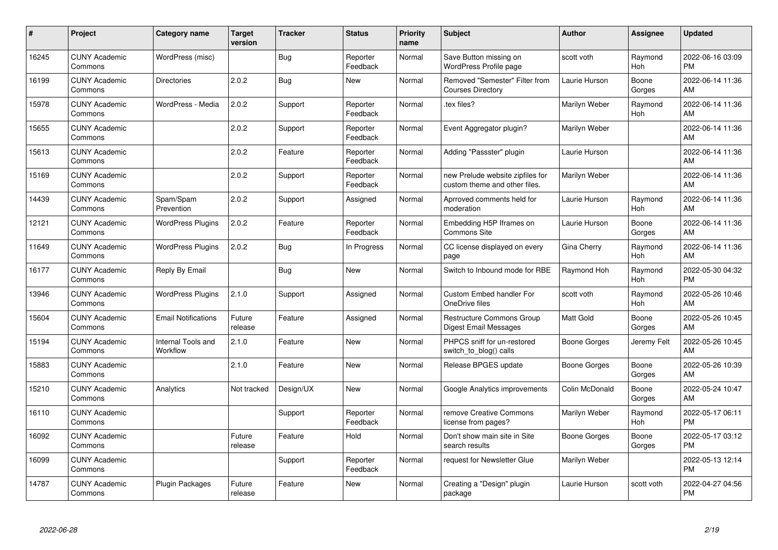| #     | Project                         | <b>Category name</b>           | Target<br>version | <b>Tracker</b> | <b>Status</b>        | <b>Priority</b><br>name | <b>Subject</b>                                                    | <b>Author</b>  | <b>Assignee</b> | <b>Updated</b>                |
|-------|---------------------------------|--------------------------------|-------------------|----------------|----------------------|-------------------------|-------------------------------------------------------------------|----------------|-----------------|-------------------------------|
| 16245 | <b>CUNY Academic</b><br>Commons | WordPress (misc)               |                   | <b>Bug</b>     | Reporter<br>Feedback | Normal                  | Save Button missing on<br>WordPress Profile page                  | scott voth     | Raymond<br>Hoh  | 2022-06-16 03:09<br><b>PM</b> |
| 16199 | <b>CUNY Academic</b><br>Commons | <b>Directories</b>             | 2.0.2             | Bug            | <b>New</b>           | Normal                  | Removed "Semester" Filter from<br><b>Courses Directory</b>        | Laurie Hurson  | Boone<br>Gorges | 2022-06-14 11:36<br>AM        |
| 15978 | <b>CUNY Academic</b><br>Commons | WordPress - Media              | 2.0.2             | Support        | Reporter<br>Feedback | Normal                  | tex files?                                                        | Marilyn Weber  | Raymond<br>Hoh  | 2022-06-14 11:36<br>AM        |
| 15655 | <b>CUNY Academic</b><br>Commons |                                | 2.0.2             | Support        | Reporter<br>Feedback | Normal                  | Event Aggregator plugin?                                          | Marilyn Weber  |                 | 2022-06-14 11:36<br>AM        |
| 15613 | <b>CUNY Academic</b><br>Commons |                                | 2.0.2             | Feature        | Reporter<br>Feedback | Normal                  | Adding "Passster" plugin                                          | Laurie Hurson  |                 | 2022-06-14 11:36<br>AM        |
| 15169 | <b>CUNY Academic</b><br>Commons |                                | 2.0.2             | Support        | Reporter<br>Feedback | Normal                  | new Prelude website zipfiles for<br>custom theme and other files. | Marilyn Weber  |                 | 2022-06-14 11:36<br>AM        |
| 14439 | <b>CUNY Academic</b><br>Commons | Spam/Spam<br>Prevention        | 2.0.2             | Support        | Assigned             | Normal                  | Aprroved comments held for<br>moderation                          | Laurie Hurson  | Raymond<br>Hoh  | 2022-06-14 11:36<br>AM        |
| 12121 | <b>CUNY Academic</b><br>Commons | <b>WordPress Plugins</b>       | 2.0.2             | Feature        | Reporter<br>Feedback | Normal                  | Embedding H5P Iframes on<br>Commons Site                          | Laurie Hurson  | Boone<br>Gorges | 2022-06-14 11:36<br>AM        |
| 11649 | <b>CUNY Academic</b><br>Commons | <b>WordPress Plugins</b>       | 2.0.2             | <b>Bug</b>     | In Progress          | Normal                  | CC license displayed on every<br>page                             | Gina Cherry    | Raymond<br>Hoh  | 2022-06-14 11:36<br>AM        |
| 16177 | <b>CUNY Academic</b><br>Commons | Reply By Email                 |                   | Bug            | <b>New</b>           | Normal                  | Switch to Inbound mode for RBE                                    | Raymond Hoh    | Raymond<br>Hoh  | 2022-05-30 04:32<br><b>PM</b> |
| 13946 | <b>CUNY Academic</b><br>Commons | <b>WordPress Plugins</b>       | 2.1.0             | Support        | Assigned             | Normal                  | <b>Custom Embed handler For</b><br>OneDrive files                 | scott voth     | Raymond<br>Hoh  | 2022-05-26 10:46<br>AM        |
| 15604 | <b>CUNY Academic</b><br>Commons | <b>Email Notifications</b>     | Future<br>release | Feature        | Assigned             | Normal                  | Restructure Commons Group<br>Digest Email Messages                | Matt Gold      | Boone<br>Gorges | 2022-05-26 10:45<br>AM        |
| 15194 | <b>CUNY Academic</b><br>Commons | Internal Tools and<br>Workflow | 2.1.0             | Feature        | New                  | Normal                  | PHPCS sniff for un-restored<br>switch_to_blog() calls             | Boone Gorges   | Jeremy Felt     | 2022-05-26 10:45<br>AM        |
| 15883 | <b>CUNY Academic</b><br>Commons |                                | 2.1.0             | Feature        | <b>New</b>           | Normal                  | Release BPGES update                                              | Boone Gorges   | Boone<br>Gorges | 2022-05-26 10:39<br>AM        |
| 15210 | <b>CUNY Academic</b><br>Commons | Analytics                      | Not tracked       | Design/UX      | <b>New</b>           | Normal                  | Google Analytics improvements                                     | Colin McDonald | Boone<br>Gorges | 2022-05-24 10:47<br>AM        |
| 16110 | <b>CUNY Academic</b><br>Commons |                                |                   | Support        | Reporter<br>Feedback | Normal                  | remove Creative Commons<br>license from pages?                    | Marilyn Weber  | Raymond<br>Hoh  | 2022-05-17 06:11<br><b>PM</b> |
| 16092 | <b>CUNY Academic</b><br>Commons |                                | Future<br>release | Feature        | Hold                 | Normal                  | Don't show main site in Site<br>search results                    | Boone Gorges   | Boone<br>Gorges | 2022-05-17 03:12<br><b>PM</b> |
| 16099 | <b>CUNY Academic</b><br>Commons |                                |                   | Support        | Reporter<br>Feedback | Normal                  | request for Newsletter Glue                                       | Marilyn Weber  |                 | 2022-05-13 12:14<br><b>PM</b> |
| 14787 | <b>CUNY Academic</b><br>Commons | <b>Plugin Packages</b>         | Future<br>release | Feature        | <b>New</b>           | Normal                  | Creating a "Design" plugin<br>package                             | Laurie Hurson  | scott voth      | 2022-04-27 04:56<br>PM        |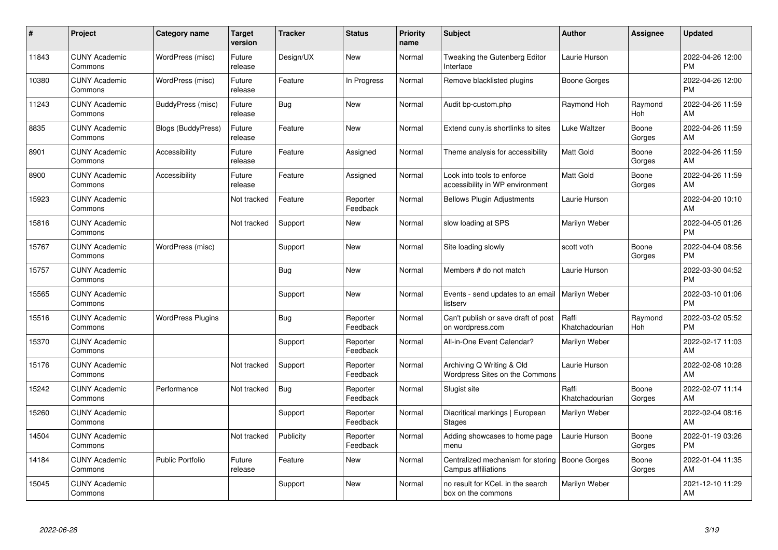| #     | Project                         | <b>Category name</b>     | <b>Target</b><br>version | <b>Tracker</b> | <b>Status</b>        | <b>Priority</b><br>name | <b>Subject</b>                                                | <b>Author</b>           | <b>Assignee</b> | <b>Updated</b>                |
|-------|---------------------------------|--------------------------|--------------------------|----------------|----------------------|-------------------------|---------------------------------------------------------------|-------------------------|-----------------|-------------------------------|
| 11843 | <b>CUNY Academic</b><br>Commons | WordPress (misc)         | Future<br>release        | Design/UX      | <b>New</b>           | Normal                  | Tweaking the Gutenberg Editor<br>Interface                    | Laurie Hurson           |                 | 2022-04-26 12:00<br><b>PM</b> |
| 10380 | <b>CUNY Academic</b><br>Commons | WordPress (misc)         | Future<br>release        | Feature        | In Progress          | Normal                  | Remove blacklisted plugins                                    | Boone Gorges            |                 | 2022-04-26 12:00<br><b>PM</b> |
| 11243 | <b>CUNY Academic</b><br>Commons | BuddyPress (misc)        | Future<br>release        | Bug            | <b>New</b>           | Normal                  | Audit bp-custom.php                                           | Raymond Hoh             | Raymond<br>Hoh  | 2022-04-26 11:59<br>AM        |
| 8835  | <b>CUNY Academic</b><br>Commons | Blogs (BuddyPress)       | Future<br>release        | Feature        | <b>New</b>           | Normal                  | Extend cuny is shortlinks to sites                            | Luke Waltzer            | Boone<br>Gorges | 2022-04-26 11:59<br>AM        |
| 8901  | <b>CUNY Academic</b><br>Commons | Accessibility            | Future<br>release        | Feature        | Assigned             | Normal                  | Theme analysis for accessibility                              | Matt Gold               | Boone<br>Gorges | 2022-04-26 11:59<br>AM        |
| 8900  | <b>CUNY Academic</b><br>Commons | Accessibility            | Future<br>release        | Feature        | Assigned             | Normal                  | Look into tools to enforce<br>accessibility in WP environment | <b>Matt Gold</b>        | Boone<br>Gorges | 2022-04-26 11:59<br>AM        |
| 15923 | <b>CUNY Academic</b><br>Commons |                          | Not tracked              | Feature        | Reporter<br>Feedback | Normal                  | <b>Bellows Plugin Adjustments</b>                             | Laurie Hurson           |                 | 2022-04-20 10:10<br>AM        |
| 15816 | <b>CUNY Academic</b><br>Commons |                          | Not tracked              | Support        | <b>New</b>           | Normal                  | slow loading at SPS                                           | Marilyn Weber           |                 | 2022-04-05 01:26<br><b>PM</b> |
| 15767 | <b>CUNY Academic</b><br>Commons | WordPress (misc)         |                          | Support        | <b>New</b>           | Normal                  | Site loading slowly                                           | scott voth              | Boone<br>Gorges | 2022-04-04 08:56<br><b>PM</b> |
| 15757 | <b>CUNY Academic</b><br>Commons |                          |                          | <b>Bug</b>     | <b>New</b>           | Normal                  | Members # do not match                                        | Laurie Hurson           |                 | 2022-03-30 04:52<br>PM        |
| 15565 | <b>CUNY Academic</b><br>Commons |                          |                          | Support        | <b>New</b>           | Normal                  | Events - send updates to an email<br>listserv                 | Marilyn Weber           |                 | 2022-03-10 01:06<br><b>PM</b> |
| 15516 | <b>CUNY Academic</b><br>Commons | <b>WordPress Plugins</b> |                          | <b>Bug</b>     | Reporter<br>Feedback | Normal                  | Can't publish or save draft of post<br>on wordpress.com       | Raffi<br>Khatchadourian | Raymond<br>Hoh  | 2022-03-02 05:52<br><b>PM</b> |
| 15370 | <b>CUNY Academic</b><br>Commons |                          |                          | Support        | Reporter<br>Feedback | Normal                  | All-in-One Event Calendar?                                    | Marilyn Weber           |                 | 2022-02-17 11:03<br>AM        |
| 15176 | <b>CUNY Academic</b><br>Commons |                          | Not tracked              | Support        | Reporter<br>Feedback | Normal                  | Archiving Q Writing & Old<br>Wordpress Sites on the Commons   | Laurie Hurson           |                 | 2022-02-08 10:28<br>AM        |
| 15242 | <b>CUNY Academic</b><br>Commons | Performance              | Not tracked              | Bug            | Reporter<br>Feedback | Normal                  | Slugist site                                                  | Raffi<br>Khatchadourian | Boone<br>Gorges | 2022-02-07 11:14<br>AM        |
| 15260 | <b>CUNY Academic</b><br>Commons |                          |                          | Support        | Reporter<br>Feedback | Normal                  | Diacritical markings   European<br><b>Stages</b>              | Marilyn Weber           |                 | 2022-02-04 08:16<br>AM        |
| 14504 | <b>CUNY Academic</b><br>Commons |                          | Not tracked              | Publicity      | Reporter<br>Feedback | Normal                  | Adding showcases to home page<br>menu                         | Laurie Hurson           | Boone<br>Gorges | 2022-01-19 03:26<br><b>PM</b> |
| 14184 | <b>CUNY Academic</b><br>Commons | <b>Public Portfolio</b>  | Future<br>release        | Feature        | <b>New</b>           | Normal                  | Centralized mechanism for storing<br>Campus affiliations      | Boone Gorges            | Boone<br>Gorges | 2022-01-04 11:35<br>AM        |
| 15045 | <b>CUNY Academic</b><br>Commons |                          |                          | Support        | <b>New</b>           | Normal                  | no result for KCeL in the search<br>box on the commons        | Marilyn Weber           |                 | 2021-12-10 11:29<br>AM        |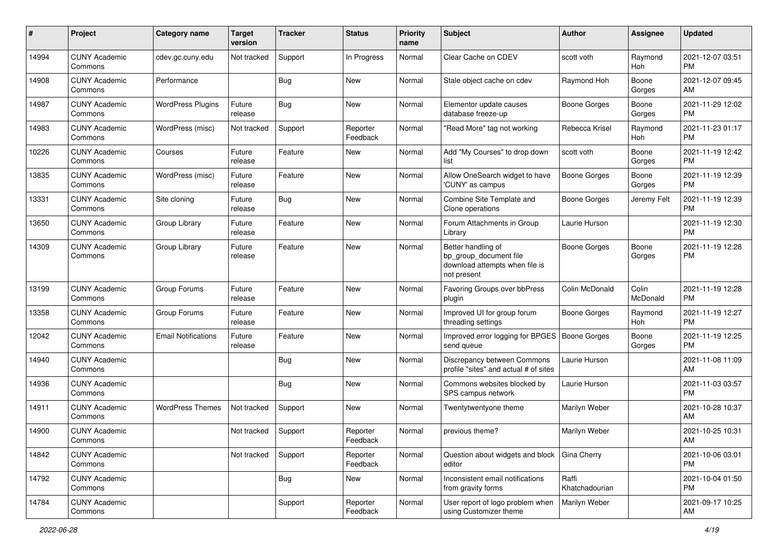| #     | Project                         | <b>Category name</b>       | <b>Target</b><br>version | <b>Tracker</b> | <b>Status</b>        | <b>Priority</b><br>name | <b>Subject</b>                                                                                | <b>Author</b>           | <b>Assignee</b>   | <b>Updated</b>                |
|-------|---------------------------------|----------------------------|--------------------------|----------------|----------------------|-------------------------|-----------------------------------------------------------------------------------------------|-------------------------|-------------------|-------------------------------|
| 14994 | <b>CUNY Academic</b><br>Commons | cdev.gc.cuny.edu           | Not tracked              | Support        | In Progress          | Normal                  | Clear Cache on CDEV                                                                           | scott voth              | Raymond<br>Hoh    | 2021-12-07 03:51<br><b>PM</b> |
| 14908 | <b>CUNY Academic</b><br>Commons | Performance                |                          | <b>Bug</b>     | New                  | Normal                  | Stale object cache on cdev                                                                    | Raymond Hoh             | Boone<br>Gorges   | 2021-12-07 09:45<br>AM        |
| 14987 | <b>CUNY Academic</b><br>Commons | <b>WordPress Plugins</b>   | Future<br>release        | <b>Bug</b>     | New                  | Normal                  | Elementor update causes<br>database freeze-up                                                 | <b>Boone Gorges</b>     | Boone<br>Gorges   | 2021-11-29 12:02<br><b>PM</b> |
| 14983 | <b>CUNY Academic</b><br>Commons | WordPress (misc)           | Not tracked              | Support        | Reporter<br>Feedback | Normal                  | "Read More" tag not working                                                                   | Rebecca Krisel          | Raymond<br>Hoh    | 2021-11-23 01:17<br><b>PM</b> |
| 10226 | <b>CUNY Academic</b><br>Commons | Courses                    | Future<br>release        | Feature        | New                  | Normal                  | Add "My Courses" to drop down<br>list                                                         | scott voth              | Boone<br>Gorges   | 2021-11-19 12:42<br><b>PM</b> |
| 13835 | <b>CUNY Academic</b><br>Commons | WordPress (misc)           | Future<br>release        | Feature        | New                  | Normal                  | Allow OneSearch widget to have<br>'CUNY' as campus                                            | <b>Boone Gorges</b>     | Boone<br>Gorges   | 2021-11-19 12:39<br><b>PM</b> |
| 13331 | <b>CUNY Academic</b><br>Commons | Site cloning               | Future<br>release        | <b>Bug</b>     | New                  | Normal                  | Combine Site Template and<br>Clone operations                                                 | Boone Gorges            | Jeremy Felt       | 2021-11-19 12:39<br><b>PM</b> |
| 13650 | <b>CUNY Academic</b><br>Commons | Group Library              | Future<br>release        | Feature        | New                  | Normal                  | Forum Attachments in Group<br>Library                                                         | Laurie Hurson           |                   | 2021-11-19 12:30<br><b>PM</b> |
| 14309 | <b>CUNY Academic</b><br>Commons | Group Library              | Future<br>release        | Feature        | New                  | Normal                  | Better handling of<br>bp_group_document file<br>download attempts when file is<br>not present | <b>Boone Gorges</b>     | Boone<br>Gorges   | 2021-11-19 12:28<br><b>PM</b> |
| 13199 | <b>CUNY Academic</b><br>Commons | Group Forums               | Future<br>release        | Feature        | New                  | Normal                  | Favoring Groups over bbPress<br>plugin                                                        | Colin McDonald          | Colin<br>McDonald | 2021-11-19 12:28<br><b>PM</b> |
| 13358 | <b>CUNY Academic</b><br>Commons | Group Forums               | Future<br>release        | Feature        | New                  | Normal                  | Improved UI for group forum<br>threading settings                                             | <b>Boone Gorges</b>     | Raymond<br>Hoh    | 2021-11-19 12:27<br><b>PM</b> |
| 12042 | <b>CUNY Academic</b><br>Commons | <b>Email Notifications</b> | Future<br>release        | Feature        | New                  | Normal                  | Improved error logging for BPGES<br>send queue                                                | <b>Boone Gorges</b>     | Boone<br>Gorges   | 2021-11-19 12:25<br><b>PM</b> |
| 14940 | <b>CUNY Academic</b><br>Commons |                            |                          | <b>Bug</b>     | New                  | Normal                  | Discrepancy between Commons<br>profile "sites" and actual # of sites                          | Laurie Hurson           |                   | 2021-11-08 11:09<br>AM        |
| 14936 | <b>CUNY Academic</b><br>Commons |                            |                          | <b>Bug</b>     | <b>New</b>           | Normal                  | Commons websites blocked by<br>SPS campus network                                             | Laurie Hurson           |                   | 2021-11-03 03:57<br><b>PM</b> |
| 14911 | <b>CUNY Academic</b><br>Commons | <b>WordPress Themes</b>    | Not tracked              | Support        | New                  | Normal                  | Twentytwentyone theme                                                                         | Marilyn Weber           |                   | 2021-10-28 10:37<br>AM        |
| 14900 | <b>CUNY Academic</b><br>Commons |                            | Not tracked              | Support        | Reporter<br>Feedback | Normal                  | previous theme?                                                                               | Marilyn Weber           |                   | 2021-10-25 10:31<br>AM        |
| 14842 | <b>CUNY Academic</b><br>Commons |                            | Not tracked              | Support        | Reporter<br>Feedback | Normal                  | Question about widgets and block<br>editor                                                    | Gina Cherry             |                   | 2021-10-06 03:01<br><b>PM</b> |
| 14792 | <b>CUNY Academic</b><br>Commons |                            |                          | <b>Bug</b>     | New                  | Normal                  | Inconsistent email notifications<br>from gravity forms                                        | Raffi<br>Khatchadourian |                   | 2021-10-04 01:50<br>PM        |
| 14784 | <b>CUNY Academic</b><br>Commons |                            |                          | Support        | Reporter<br>Feedback | Normal                  | User report of logo problem when<br>using Customizer theme                                    | Marilyn Weber           |                   | 2021-09-17 10:25<br>AM        |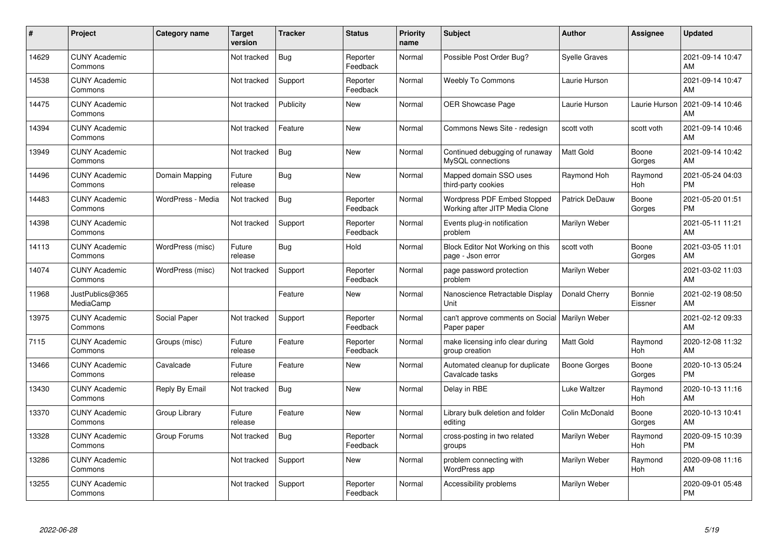| #     | Project                         | <b>Category name</b> | <b>Target</b><br>version | <b>Tracker</b> | <b>Status</b>        | <b>Priority</b><br>name | <b>Subject</b>                                                | <b>Author</b>         | <b>Assignee</b>       | <b>Updated</b>                |
|-------|---------------------------------|----------------------|--------------------------|----------------|----------------------|-------------------------|---------------------------------------------------------------|-----------------------|-----------------------|-------------------------------|
| 14629 | <b>CUNY Academic</b><br>Commons |                      | Not tracked              | <b>Bug</b>     | Reporter<br>Feedback | Normal                  | Possible Post Order Bug?                                      | <b>Syelle Graves</b>  |                       | 2021-09-14 10:47<br>AM        |
| 14538 | <b>CUNY Academic</b><br>Commons |                      | Not tracked              | Support        | Reporter<br>Feedback | Normal                  | <b>Weebly To Commons</b>                                      | Laurie Hurson         |                       | 2021-09-14 10:47<br>AM        |
| 14475 | <b>CUNY Academic</b><br>Commons |                      | Not tracked              | Publicity      | <b>New</b>           | Normal                  | OER Showcase Page                                             | Laurie Hurson         | Laurie Hurson         | 2021-09-14 10:46<br>AM        |
| 14394 | <b>CUNY Academic</b><br>Commons |                      | Not tracked              | Feature        | <b>New</b>           | Normal                  | Commons News Site - redesign                                  | scott voth            | scott voth            | 2021-09-14 10:46<br>AM        |
| 13949 | <b>CUNY Academic</b><br>Commons |                      | Not tracked              | Bug            | <b>New</b>           | Normal                  | Continued debugging of runaway<br>MySQL connections           | <b>Matt Gold</b>      | Boone<br>Gorges       | 2021-09-14 10:42<br>AM        |
| 14496 | <b>CUNY Academic</b><br>Commons | Domain Mapping       | Future<br>release        | <b>Bug</b>     | <b>New</b>           | Normal                  | Mapped domain SSO uses<br>third-party cookies                 | Raymond Hoh           | Raymond<br><b>Hoh</b> | 2021-05-24 04:03<br><b>PM</b> |
| 14483 | <b>CUNY Academic</b><br>Commons | WordPress - Media    | Not tracked              | <b>Bug</b>     | Reporter<br>Feedback | Normal                  | Wordpress PDF Embed Stopped<br>Working after JITP Media Clone | <b>Patrick DeDauw</b> | Boone<br>Gorges       | 2021-05-20 01:51<br><b>PM</b> |
| 14398 | <b>CUNY Academic</b><br>Commons |                      | Not tracked              | Support        | Reporter<br>Feedback | Normal                  | Events plug-in notification<br>problem                        | Marilyn Weber         |                       | 2021-05-11 11:21<br>AM        |
| 14113 | <b>CUNY Academic</b><br>Commons | WordPress (misc)     | Future<br>release        | <b>Bug</b>     | Hold                 | Normal                  | Block Editor Not Working on this<br>page - Json error         | scott voth            | Boone<br>Gorges       | 2021-03-05 11:01<br>AM        |
| 14074 | <b>CUNY Academic</b><br>Commons | WordPress (misc)     | Not tracked              | Support        | Reporter<br>Feedback | Normal                  | page password protection<br>problem                           | Marilyn Weber         |                       | 2021-03-02 11:03<br>AM        |
| 11968 | JustPublics@365<br>MediaCamp    |                      |                          | Feature        | New                  | Normal                  | Nanoscience Retractable Display<br>Unit                       | Donald Cherry         | Bonnie<br>Eissner     | 2021-02-19 08:50<br>AM        |
| 13975 | <b>CUNY Academic</b><br>Commons | Social Paper         | Not tracked              | Support        | Reporter<br>Feedback | Normal                  | can't approve comments on Social<br>Paper paper               | Marilyn Weber         |                       | 2021-02-12 09:33<br>AM        |
| 7115  | <b>CUNY Academic</b><br>Commons | Groups (misc)        | Future<br>release        | Feature        | Reporter<br>Feedback | Normal                  | make licensing info clear during<br>group creation            | <b>Matt Gold</b>      | Raymond<br>Hoh        | 2020-12-08 11:32<br>AM        |
| 13466 | <b>CUNY Academic</b><br>Commons | Cavalcade            | Future<br>release        | Feature        | <b>New</b>           | Normal                  | Automated cleanup for duplicate<br>Cavalcade tasks            | <b>Boone Gorges</b>   | Boone<br>Gorges       | 2020-10-13 05:24<br><b>PM</b> |
| 13430 | <b>CUNY Academic</b><br>Commons | Reply By Email       | Not tracked              | Bug            | <b>New</b>           | Normal                  | Delay in RBE                                                  | Luke Waltzer          | Raymond<br>Hoh        | 2020-10-13 11:16<br>AM        |
| 13370 | <b>CUNY Academic</b><br>Commons | Group Library        | Future<br>release        | Feature        | <b>New</b>           | Normal                  | Library bulk deletion and folder<br>editing                   | Colin McDonald        | Boone<br>Gorges       | 2020-10-13 10:41<br>AM        |
| 13328 | <b>CUNY Academic</b><br>Commons | Group Forums         | Not tracked              | <b>Bug</b>     | Reporter<br>Feedback | Normal                  | cross-posting in two related<br>groups                        | Marilyn Weber         | Raymond<br><b>Hoh</b> | 2020-09-15 10:39<br><b>PM</b> |
| 13286 | <b>CUNY Academic</b><br>Commons |                      | Not tracked              | Support        | New                  | Normal                  | problem connecting with<br>WordPress app                      | Marilyn Weber         | Raymond<br>Hoh        | 2020-09-08 11:16<br>AM        |
| 13255 | <b>CUNY Academic</b><br>Commons |                      | Not tracked              | Support        | Reporter<br>Feedback | Normal                  | Accessibility problems                                        | Marilyn Weber         |                       | 2020-09-01 05:48<br>PM        |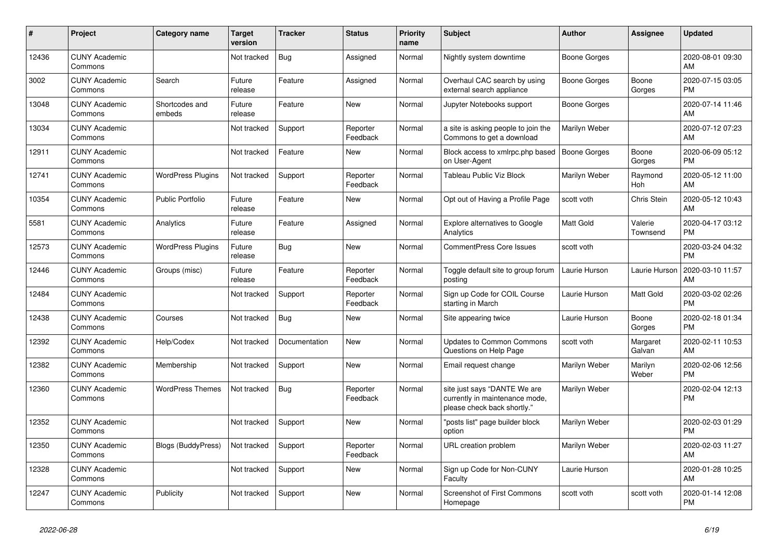| #     | <b>Project</b>                  | Category name             | Target<br>version | <b>Tracker</b> | <b>Status</b>        | <b>Priority</b><br>name | <b>Subject</b>                                                                                | <b>Author</b>       | <b>Assignee</b>       | <b>Updated</b>                |
|-------|---------------------------------|---------------------------|-------------------|----------------|----------------------|-------------------------|-----------------------------------------------------------------------------------------------|---------------------|-----------------------|-------------------------------|
| 12436 | <b>CUNY Academic</b><br>Commons |                           | Not tracked       | <b>Bug</b>     | Assigned             | Normal                  | Nightly system downtime                                                                       | Boone Gorges        |                       | 2020-08-01 09:30<br>AM        |
| 3002  | <b>CUNY Academic</b><br>Commons | Search                    | Future<br>release | Feature        | Assigned             | Normal                  | Overhaul CAC search by using<br>external search appliance                                     | Boone Gorges        | Boone<br>Gorges       | 2020-07-15 03:05<br><b>PM</b> |
| 13048 | <b>CUNY Academic</b><br>Commons | Shortcodes and<br>embeds  | Future<br>release | Feature        | New                  | Normal                  | Jupyter Notebooks support                                                                     | Boone Gorges        |                       | 2020-07-14 11:46<br>AM        |
| 13034 | <b>CUNY Academic</b><br>Commons |                           | Not tracked       | Support        | Reporter<br>Feedback | Normal                  | a site is asking people to join the<br>Commons to get a download                              | Marilyn Weber       |                       | 2020-07-12 07:23<br>AM        |
| 12911 | <b>CUNY Academic</b><br>Commons |                           | Not tracked       | Feature        | New                  | Normal                  | Block access to xmlrpc.php based<br>on User-Agent                                             | <b>Boone Gorges</b> | Boone<br>Gorges       | 2020-06-09 05:12<br><b>PM</b> |
| 12741 | <b>CUNY Academic</b><br>Commons | <b>WordPress Plugins</b>  | Not tracked       | Support        | Reporter<br>Feedback | Normal                  | Tableau Public Viz Block                                                                      | Marilyn Weber       | Raymond<br><b>Hoh</b> | 2020-05-12 11:00<br>AM        |
| 10354 | <b>CUNY Academic</b><br>Commons | <b>Public Portfolio</b>   | Future<br>release | Feature        | <b>New</b>           | Normal                  | Opt out of Having a Profile Page                                                              | scott voth          | Chris Stein           | 2020-05-12 10:43<br>AM        |
| 5581  | <b>CUNY Academic</b><br>Commons | Analytics                 | Future<br>release | Feature        | Assigned             | Normal                  | <b>Explore alternatives to Google</b><br>Analytics                                            | Matt Gold           | Valerie<br>Townsend   | 2020-04-17 03:12<br><b>PM</b> |
| 12573 | <b>CUNY Academic</b><br>Commons | <b>WordPress Plugins</b>  | Future<br>release | Bug            | <b>New</b>           | Normal                  | <b>CommentPress Core Issues</b>                                                               | scott voth          |                       | 2020-03-24 04:32<br><b>PM</b> |
| 12446 | <b>CUNY Academic</b><br>Commons | Groups (misc)             | Future<br>release | Feature        | Reporter<br>Feedback | Normal                  | Toggle default site to group forum<br>posting                                                 | Laurie Hurson       | Laurie Hurson         | 2020-03-10 11:57<br>AM        |
| 12484 | <b>CUNY Academic</b><br>Commons |                           | Not tracked       | Support        | Reporter<br>Feedback | Normal                  | Sign up Code for COIL Course<br>starting in March                                             | Laurie Hurson       | <b>Matt Gold</b>      | 2020-03-02 02:26<br><b>PM</b> |
| 12438 | <b>CUNY Academic</b><br>Commons | Courses                   | Not tracked       | <b>Bug</b>     | <b>New</b>           | Normal                  | Site appearing twice                                                                          | Laurie Hurson       | Boone<br>Gorges       | 2020-02-18 01:34<br><b>PM</b> |
| 12392 | <b>CUNY Academic</b><br>Commons | Help/Codex                | Not tracked       | Documentation  | <b>New</b>           | Normal                  | <b>Updates to Common Commons</b><br>Questions on Help Page                                    | scott voth          | Margaret<br>Galvan    | 2020-02-11 10:53<br>AM        |
| 12382 | <b>CUNY Academic</b><br>Commons | Membership                | Not tracked       | Support        | <b>New</b>           | Normal                  | Email request change                                                                          | Marilyn Weber       | Marilyn<br>Weber      | 2020-02-06 12:56<br><b>PM</b> |
| 12360 | <b>CUNY Academic</b><br>Commons | <b>WordPress Themes</b>   | Not tracked       | Bug            | Reporter<br>Feedback | Normal                  | site just says "DANTE We are<br>currently in maintenance mode,<br>please check back shortly." | Marilyn Weber       |                       | 2020-02-04 12:13<br><b>PM</b> |
| 12352 | <b>CUNY Academic</b><br>Commons |                           | Not tracked       | Support        | <b>New</b>           | Normal                  | "posts list" page builder block<br>option                                                     | Marilyn Weber       |                       | 2020-02-03 01:29<br><b>PM</b> |
| 12350 | <b>CUNY Academic</b><br>Commons | <b>Blogs (BuddyPress)</b> | Not tracked       | Support        | Reporter<br>Feedback | Normal                  | <b>URL</b> creation problem                                                                   | Marilyn Weber       |                       | 2020-02-03 11:27<br>AM        |
| 12328 | <b>CUNY Academic</b><br>Commons |                           | Not tracked       | Support        | <b>New</b>           | Normal                  | Sign up Code for Non-CUNY<br>Faculty                                                          | Laurie Hurson       |                       | 2020-01-28 10:25<br>AM        |
| 12247 | <b>CUNY Academic</b><br>Commons | Publicity                 | Not tracked       | Support        | <b>New</b>           | Normal                  | Screenshot of First Commons<br>Homepage                                                       | scott voth          | scott voth            | 2020-01-14 12:08<br><b>PM</b> |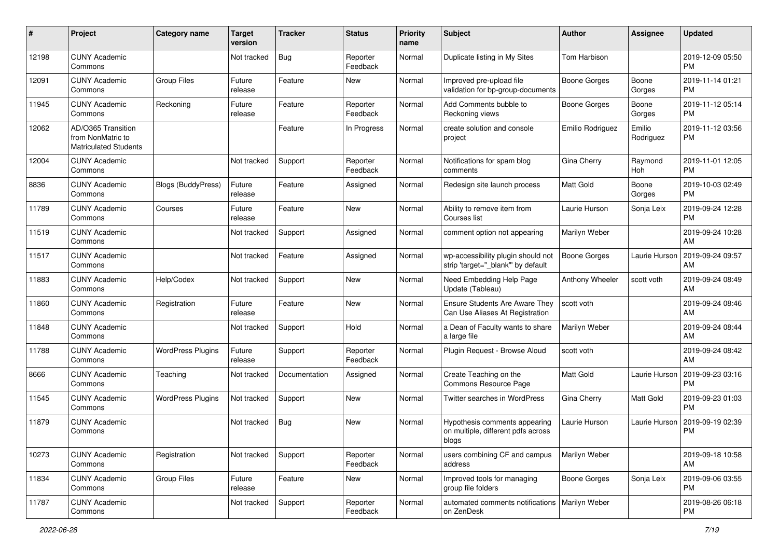| #     | Project                                                                 | <b>Category name</b>      | <b>Target</b><br>version | <b>Tracker</b> | <b>Status</b>        | <b>Priority</b><br>name | <b>Subject</b>                                                               | <b>Author</b>       | <b>Assignee</b>     | <b>Updated</b>                |
|-------|-------------------------------------------------------------------------|---------------------------|--------------------------|----------------|----------------------|-------------------------|------------------------------------------------------------------------------|---------------------|---------------------|-------------------------------|
| 12198 | <b>CUNY Academic</b><br>Commons                                         |                           | Not tracked              | <b>Bug</b>     | Reporter<br>Feedback | Normal                  | Duplicate listing in My Sites                                                | Tom Harbison        |                     | 2019-12-09 05:50<br><b>PM</b> |
| 12091 | <b>CUNY Academic</b><br>Commons                                         | <b>Group Files</b>        | Future<br>release        | Feature        | New                  | Normal                  | Improved pre-upload file<br>validation for bp-group-documents                | <b>Boone Gorges</b> | Boone<br>Gorges     | 2019-11-14 01:21<br><b>PM</b> |
| 11945 | <b>CUNY Academic</b><br>Commons                                         | Reckoning                 | Future<br>release        | Feature        | Reporter<br>Feedback | Normal                  | Add Comments bubble to<br>Reckoning views                                    | Boone Gorges        | Boone<br>Gorges     | 2019-11-12 05:14<br><b>PM</b> |
| 12062 | AD/O365 Transition<br>from NonMatric to<br><b>Matriculated Students</b> |                           |                          | Feature        | In Progress          | Normal                  | create solution and console<br>project                                       | Emilio Rodriguez    | Emilio<br>Rodriguez | 2019-11-12 03:56<br>PM        |
| 12004 | <b>CUNY Academic</b><br>Commons                                         |                           | Not tracked              | Support        | Reporter<br>Feedback | Normal                  | Notifications for spam blog<br>comments                                      | Gina Cherry         | Raymond<br>Hoh      | 2019-11-01 12:05<br><b>PM</b> |
| 8836  | <b>CUNY Academic</b><br>Commons                                         | <b>Blogs (BuddyPress)</b> | Future<br>release        | Feature        | Assigned             | Normal                  | Redesign site launch process                                                 | <b>Matt Gold</b>    | Boone<br>Gorges     | 2019-10-03 02:49<br><b>PM</b> |
| 11789 | <b>CUNY Academic</b><br>Commons                                         | Courses                   | Future<br>release        | Feature        | New                  | Normal                  | Ability to remove item from<br>Courses list                                  | Laurie Hurson       | Sonja Leix          | 2019-09-24 12:28<br><b>PM</b> |
| 11519 | <b>CUNY Academic</b><br>Commons                                         |                           | Not tracked              | Support        | Assigned             | Normal                  | comment option not appearing                                                 | Marilyn Weber       |                     | 2019-09-24 10:28<br>AM        |
| 11517 | <b>CUNY Academic</b><br>Commons                                         |                           | Not tracked              | Feature        | Assigned             | Normal                  | wp-accessibility plugin should not<br>strip 'target="_blank" by default      | <b>Boone Gorges</b> | Laurie Hurson       | 2019-09-24 09:57<br>AM        |
| 11883 | <b>CUNY Academic</b><br>Commons                                         | Help/Codex                | Not tracked              | Support        | New                  | Normal                  | Need Embedding Help Page<br>Update (Tableau)                                 | Anthony Wheeler     | scott voth          | 2019-09-24 08:49<br>AM        |
| 11860 | <b>CUNY Academic</b><br>Commons                                         | Registration              | Future<br>release        | Feature        | New                  | Normal                  | Ensure Students Are Aware They<br>Can Use Aliases At Registration            | scott voth          |                     | 2019-09-24 08:46<br>AM        |
| 11848 | <b>CUNY Academic</b><br>Commons                                         |                           | Not tracked              | Support        | Hold                 | Normal                  | a Dean of Faculty wants to share<br>a large file                             | Marilyn Weber       |                     | 2019-09-24 08:44<br>AM        |
| 11788 | <b>CUNY Academic</b><br>Commons                                         | <b>WordPress Plugins</b>  | Future<br>release        | Support        | Reporter<br>Feedback | Normal                  | Plugin Request - Browse Aloud                                                | scott voth          |                     | 2019-09-24 08:42<br>AM        |
| 8666  | <b>CUNY Academic</b><br>Commons                                         | Teaching                  | Not tracked              | Documentation  | Assigned             | Normal                  | Create Teaching on the<br>Commons Resource Page                              | <b>Matt Gold</b>    | Laurie Hurson       | 2019-09-23 03:16<br><b>PM</b> |
| 11545 | <b>CUNY Academic</b><br>Commons                                         | <b>WordPress Plugins</b>  | Not tracked              | Support        | <b>New</b>           | Normal                  | Twitter searches in WordPress                                                | Gina Cherry         | Matt Gold           | 2019-09-23 01:03<br><b>PM</b> |
| 11879 | <b>CUNY Academic</b><br>Commons                                         |                           | Not tracked              | <b>Bug</b>     | <b>New</b>           | Normal                  | Hypothesis comments appearing<br>on multiple, different pdfs across<br>blogs | Laurie Hurson       | Laurie Hurson       | 2019-09-19 02:39<br>PM        |
| 10273 | <b>CUNY Academic</b><br>Commons                                         | Registration              | Not tracked              | Support        | Reporter<br>Feedback | Normal                  | users combining CF and campus<br>address                                     | Marilyn Weber       |                     | 2019-09-18 10:58<br>AM        |
| 11834 | <b>CUNY Academic</b><br>Commons                                         | <b>Group Files</b>        | Future<br>release        | Feature        | New                  | Normal                  | Improved tools for managing<br>group file folders                            | <b>Boone Gorges</b> | Sonja Leix          | 2019-09-06 03:55<br>PM        |
| 11787 | <b>CUNY Academic</b><br>Commons                                         |                           | Not tracked              | Support        | Reporter<br>Feedback | Normal                  | automated comments notifications   Marilyn Weber<br>on ZenDesk               |                     |                     | 2019-08-26 06:18<br>PM        |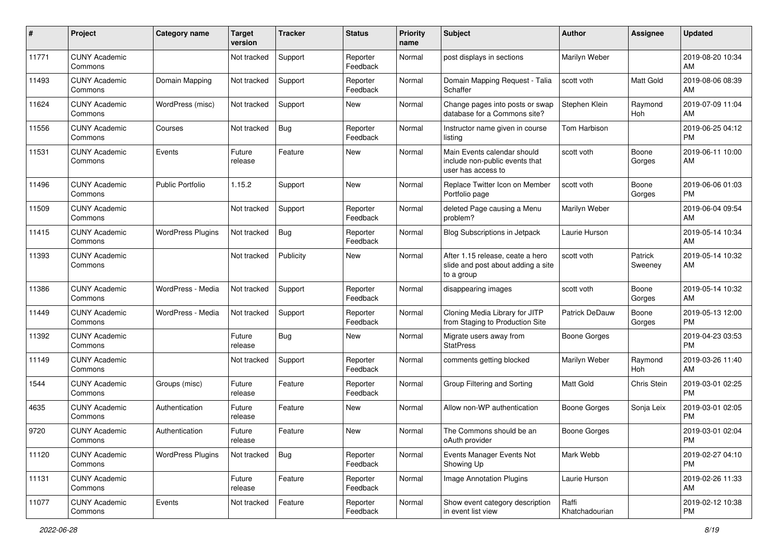| #     | Project                         | <b>Category name</b>     | <b>Target</b><br>version | <b>Tracker</b> | <b>Status</b>        | <b>Priority</b><br>name | <b>Subject</b>                                                                       | <b>Author</b>           | <b>Assignee</b>    | <b>Updated</b>                |
|-------|---------------------------------|--------------------------|--------------------------|----------------|----------------------|-------------------------|--------------------------------------------------------------------------------------|-------------------------|--------------------|-------------------------------|
| 11771 | <b>CUNY Academic</b><br>Commons |                          | Not tracked              | Support        | Reporter<br>Feedback | Normal                  | post displays in sections                                                            | Marilyn Weber           |                    | 2019-08-20 10:34<br>AM        |
| 11493 | <b>CUNY Academic</b><br>Commons | Domain Mapping           | Not tracked              | Support        | Reporter<br>Feedback | Normal                  | Domain Mapping Request - Talia<br>Schaffer                                           | scott voth              | <b>Matt Gold</b>   | 2019-08-06 08:39<br>AM        |
| 11624 | <b>CUNY Academic</b><br>Commons | WordPress (misc)         | Not tracked              | Support        | New                  | Normal                  | Change pages into posts or swap<br>database for a Commons site?                      | Stephen Klein           | Raymond<br>Hoh     | 2019-07-09 11:04<br>AM        |
| 11556 | <b>CUNY Academic</b><br>Commons | Courses                  | Not tracked              | Bug            | Reporter<br>Feedback | Normal                  | Instructor name given in course<br>listing                                           | Tom Harbison            |                    | 2019-06-25 04:12<br><b>PM</b> |
| 11531 | <b>CUNY Academic</b><br>Commons | Events                   | Future<br>release        | Feature        | <b>New</b>           | Normal                  | Main Events calendar should<br>include non-public events that<br>user has access to  | scott voth              | Boone<br>Gorges    | 2019-06-11 10:00<br>AM        |
| 11496 | <b>CUNY Academic</b><br>Commons | <b>Public Portfolio</b>  | 1.15.2                   | Support        | <b>New</b>           | Normal                  | Replace Twitter Icon on Member<br>Portfolio page                                     | scott voth              | Boone<br>Gorges    | 2019-06-06 01:03<br><b>PM</b> |
| 11509 | <b>CUNY Academic</b><br>Commons |                          | Not tracked              | Support        | Reporter<br>Feedback | Normal                  | deleted Page causing a Menu<br>problem?                                              | Marilyn Weber           |                    | 2019-06-04 09:54<br>AM        |
| 11415 | <b>CUNY Academic</b><br>Commons | <b>WordPress Plugins</b> | Not tracked              | <b>Bug</b>     | Reporter<br>Feedback | Normal                  | Blog Subscriptions in Jetpack                                                        | Laurie Hurson           |                    | 2019-05-14 10:34<br>AM        |
| 11393 | <b>CUNY Academic</b><br>Commons |                          | Not tracked              | Publicity      | New                  | Normal                  | After 1.15 release, ceate a hero<br>slide and post about adding a site<br>to a group | scott voth              | Patrick<br>Sweeney | 2019-05-14 10:32<br>AM        |
| 11386 | <b>CUNY Academic</b><br>Commons | WordPress - Media        | Not tracked              | Support        | Reporter<br>Feedback | Normal                  | disappearing images                                                                  | scott voth              | Boone<br>Gorges    | 2019-05-14 10:32<br>AM        |
| 11449 | <b>CUNY Academic</b><br>Commons | WordPress - Media        | Not tracked              | Support        | Reporter<br>Feedback | Normal                  | Cloning Media Library for JITP<br>from Staging to Production Site                    | Patrick DeDauw          | Boone<br>Gorges    | 2019-05-13 12:00<br><b>PM</b> |
| 11392 | <b>CUNY Academic</b><br>Commons |                          | Future<br>release        | <b>Bug</b>     | New                  | Normal                  | Migrate users away from<br><b>StatPress</b>                                          | <b>Boone Gorges</b>     |                    | 2019-04-23 03:53<br><b>PM</b> |
| 11149 | <b>CUNY Academic</b><br>Commons |                          | Not tracked              | Support        | Reporter<br>Feedback | Normal                  | comments getting blocked                                                             | Marilyn Weber           | Raymond<br>Hoh     | 2019-03-26 11:40<br>AM        |
| 1544  | <b>CUNY Academic</b><br>Commons | Groups (misc)            | Future<br>release        | Feature        | Reporter<br>Feedback | Normal                  | Group Filtering and Sorting                                                          | Matt Gold               | Chris Stein        | 2019-03-01 02:25<br><b>PM</b> |
| 4635  | <b>CUNY Academic</b><br>Commons | Authentication           | Future<br>release        | Feature        | New                  | Normal                  | Allow non-WP authentication                                                          | Boone Gorges            | Sonja Leix         | 2019-03-01 02:05<br><b>PM</b> |
| 9720  | <b>CUNY Academic</b><br>Commons | Authentication           | Future<br>release        | Feature        | <b>New</b>           | Normal                  | The Commons should be an<br>oAuth provider                                           | <b>Boone Gorges</b>     |                    | 2019-03-01 02:04<br>PM        |
| 11120 | <b>CUNY Academic</b><br>Commons | <b>WordPress Plugins</b> | Not tracked              | Bug            | Reporter<br>Feedback | Normal                  | Events Manager Events Not<br>Showing Up                                              | Mark Webb               |                    | 2019-02-27 04:10<br><b>PM</b> |
| 11131 | <b>CUNY Academic</b><br>Commons |                          | Future<br>release        | Feature        | Reporter<br>Feedback | Normal                  | Image Annotation Plugins                                                             | Laurie Hurson           |                    | 2019-02-26 11:33<br>AM        |
| 11077 | <b>CUNY Academic</b><br>Commons | Events                   | Not tracked              | Feature        | Reporter<br>Feedback | Normal                  | Show event category description<br>in event list view                                | Raffi<br>Khatchadourian |                    | 2019-02-12 10:38<br><b>PM</b> |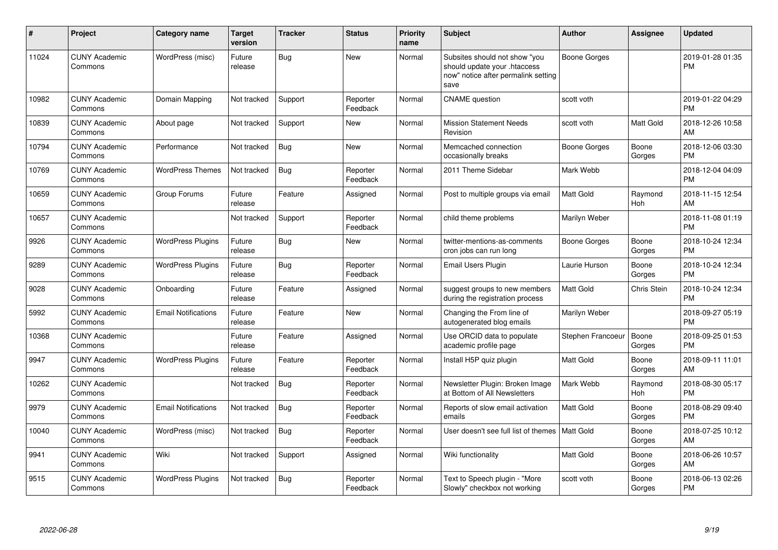| #     | Project                         | <b>Category name</b>       | <b>Target</b><br>version | <b>Tracker</b> | <b>Status</b>        | Priority<br>name | <b>Subject</b>                                                                                               | <b>Author</b>     | <b>Assignee</b> | <b>Updated</b>                |
|-------|---------------------------------|----------------------------|--------------------------|----------------|----------------------|------------------|--------------------------------------------------------------------------------------------------------------|-------------------|-----------------|-------------------------------|
| 11024 | <b>CUNY Academic</b><br>Commons | WordPress (misc)           | Future<br>release        | <b>Bug</b>     | <b>New</b>           | Normal           | Subsites should not show "you<br>should update your .htaccess<br>now" notice after permalink setting<br>save | Boone Gorges      |                 | 2019-01-28 01:35<br><b>PM</b> |
| 10982 | <b>CUNY Academic</b><br>Commons | Domain Mapping             | Not tracked              | Support        | Reporter<br>Feedback | Normal           | <b>CNAME</b> question                                                                                        | scott voth        |                 | 2019-01-22 04:29<br><b>PM</b> |
| 10839 | <b>CUNY Academic</b><br>Commons | About page                 | Not tracked              | Support        | <b>New</b>           | Normal           | <b>Mission Statement Needs</b><br>Revision                                                                   | scott voth        | Matt Gold       | 2018-12-26 10:58<br>AM        |
| 10794 | <b>CUNY Academic</b><br>Commons | Performance                | Not tracked              | <b>Bug</b>     | <b>New</b>           | Normal           | Memcached connection<br>occasionally breaks                                                                  | Boone Gorges      | Boone<br>Gorges | 2018-12-06 03:30<br><b>PM</b> |
| 10769 | <b>CUNY Academic</b><br>Commons | <b>WordPress Themes</b>    | Not tracked              | <b>Bug</b>     | Reporter<br>Feedback | Normal           | 2011 Theme Sidebar                                                                                           | Mark Webb         |                 | 2018-12-04 04:09<br><b>PM</b> |
| 10659 | <b>CUNY Academic</b><br>Commons | Group Forums               | Future<br>release        | Feature        | Assigned             | Normal           | Post to multiple groups via email                                                                            | <b>Matt Gold</b>  | Raymond<br>Hoh  | 2018-11-15 12:54<br>AM        |
| 10657 | <b>CUNY Academic</b><br>Commons |                            | Not tracked              | Support        | Reporter<br>Feedback | Normal           | child theme problems                                                                                         | Marilyn Weber     |                 | 2018-11-08 01:19<br><b>PM</b> |
| 9926  | <b>CUNY Academic</b><br>Commons | <b>WordPress Plugins</b>   | Future<br>release        | <b>Bug</b>     | <b>New</b>           | Normal           | twitter-mentions-as-comments<br>cron jobs can run long                                                       | Boone Gorges      | Boone<br>Gorges | 2018-10-24 12:34<br><b>PM</b> |
| 9289  | <b>CUNY Academic</b><br>Commons | <b>WordPress Plugins</b>   | Future<br>release        | <b>Bug</b>     | Reporter<br>Feedback | Normal           | Email Users Plugin                                                                                           | Laurie Hurson     | Boone<br>Gorges | 2018-10-24 12:34<br><b>PM</b> |
| 9028  | <b>CUNY Academic</b><br>Commons | Onboarding                 | Future<br>release        | Feature        | Assigned             | Normal           | suggest groups to new members<br>during the registration process                                             | <b>Matt Gold</b>  | Chris Stein     | 2018-10-24 12:34<br><b>PM</b> |
| 5992  | <b>CUNY Academic</b><br>Commons | <b>Email Notifications</b> | Future<br>release        | Feature        | New                  | Normal           | Changing the From line of<br>autogenerated blog emails                                                       | Marilyn Weber     |                 | 2018-09-27 05:19<br><b>PM</b> |
| 10368 | <b>CUNY Academic</b><br>Commons |                            | Future<br>release        | Feature        | Assigned             | Normal           | Use ORCID data to populate<br>academic profile page                                                          | Stephen Francoeur | Boone<br>Gorges | 2018-09-25 01:53<br><b>PM</b> |
| 9947  | <b>CUNY Academic</b><br>Commons | <b>WordPress Plugins</b>   | Future<br>release        | Feature        | Reporter<br>Feedback | Normal           | Install H5P quiz plugin                                                                                      | Matt Gold         | Boone<br>Gorges | 2018-09-11 11:01<br>AM        |
| 10262 | <b>CUNY Academic</b><br>Commons |                            | Not tracked              | <b>Bug</b>     | Reporter<br>Feedback | Normal           | Newsletter Plugin: Broken Image<br>at Bottom of All Newsletters                                              | Mark Webb         | Raymond<br>Hoh  | 2018-08-30 05:17<br><b>PM</b> |
| 9979  | <b>CUNY Academic</b><br>Commons | <b>Email Notifications</b> | Not tracked              | <b>Bug</b>     | Reporter<br>Feedback | Normal           | Reports of slow email activation<br>emails                                                                   | <b>Matt Gold</b>  | Boone<br>Gorges | 2018-08-29 09:40<br><b>PM</b> |
| 10040 | <b>CUNY Academic</b><br>Commons | WordPress (misc)           | Not tracked              | Bug            | Reporter<br>Feedback | Normal           | User doesn't see full list of themes   Matt Gold                                                             |                   | Boone<br>Gorges | 2018-07-25 10:12<br>AM        |
| 9941  | <b>CUNY Academic</b><br>Commons | Wiki                       | Not tracked              | Support        | Assigned             | Normal           | Wiki functionality                                                                                           | <b>Matt Gold</b>  | Boone<br>Gorges | 2018-06-26 10:57<br>AM        |
| 9515  | <b>CUNY Academic</b><br>Commons | <b>WordPress Plugins</b>   | Not tracked              | Bug            | Reporter<br>Feedback | Normal           | Text to Speech plugin - "More<br>Slowly" checkbox not working                                                | scott voth        | Boone<br>Gorges | 2018-06-13 02:26<br><b>PM</b> |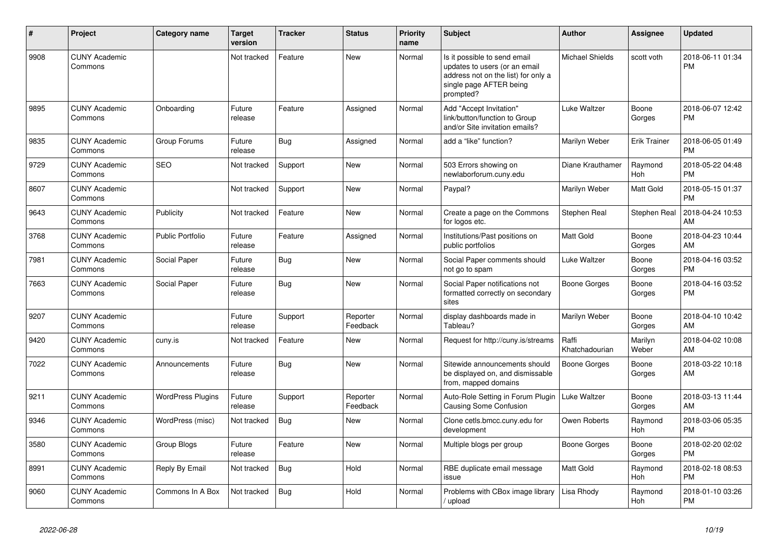| $\#$ | <b>Project</b>                  | <b>Category name</b>     | <b>Target</b><br>version | <b>Tracker</b> | <b>Status</b>        | Priority<br>name | <b>Subject</b>                                                                                                                               | <b>Author</b>           | Assignee              | <b>Updated</b>                |
|------|---------------------------------|--------------------------|--------------------------|----------------|----------------------|------------------|----------------------------------------------------------------------------------------------------------------------------------------------|-------------------------|-----------------------|-------------------------------|
| 9908 | <b>CUNY Academic</b><br>Commons |                          | Not tracked              | Feature        | <b>New</b>           | Normal           | Is it possible to send email<br>updates to users (or an email<br>address not on the list) for only a<br>single page AFTER being<br>prompted? | <b>Michael Shields</b>  | scott voth            | 2018-06-11 01:34<br><b>PM</b> |
| 9895 | <b>CUNY Academic</b><br>Commons | Onboarding               | Future<br>release        | Feature        | Assigned             | Normal           | Add "Accept Invitation"<br>link/button/function to Group<br>and/or Site invitation emails?                                                   | Luke Waltzer            | Boone<br>Gorges       | 2018-06-07 12:42<br><b>PM</b> |
| 9835 | <b>CUNY Academic</b><br>Commons | Group Forums             | Future<br>release        | Bug            | Assigned             | Normal           | add a "like" function?                                                                                                                       | Marilyn Weber           | <b>Erik Trainer</b>   | 2018-06-05 01:49<br><b>PM</b> |
| 9729 | <b>CUNY Academic</b><br>Commons | <b>SEO</b>               | Not tracked              | Support        | <b>New</b>           | Normal           | 503 Errors showing on<br>newlaborforum.cuny.edu                                                                                              | Diane Krauthamer        | Raymond<br><b>Hoh</b> | 2018-05-22 04:48<br><b>PM</b> |
| 8607 | <b>CUNY Academic</b><br>Commons |                          | Not tracked              | Support        | <b>New</b>           | Normal           | Paypal?                                                                                                                                      | Marilyn Weber           | Matt Gold             | 2018-05-15 01:37<br><b>PM</b> |
| 9643 | <b>CUNY Academic</b><br>Commons | Publicity                | Not tracked              | Feature        | <b>New</b>           | Normal           | Create a page on the Commons<br>for logos etc.                                                                                               | Stephen Real            | Stephen Real          | 2018-04-24 10:53<br>AM        |
| 3768 | <b>CUNY Academic</b><br>Commons | <b>Public Portfolio</b>  | Future<br>release        | Feature        | Assigned             | Normal           | Institutions/Past positions on<br>public portfolios                                                                                          | Matt Gold               | Boone<br>Gorges       | 2018-04-23 10:44<br>AM        |
| 7981 | <b>CUNY Academic</b><br>Commons | Social Paper             | Future<br>release        | Bug            | <b>New</b>           | Normal           | Social Paper comments should<br>not go to spam                                                                                               | <b>Luke Waltzer</b>     | Boone<br>Gorges       | 2018-04-16 03:52<br><b>PM</b> |
| 7663 | <b>CUNY Academic</b><br>Commons | Social Paper             | Future<br>release        | <b>Bug</b>     | <b>New</b>           | Normal           | Social Paper notifications not<br>formatted correctly on secondary<br>sites                                                                  | <b>Boone Gorges</b>     | Boone<br>Gorges       | 2018-04-16 03:52<br><b>PM</b> |
| 9207 | <b>CUNY Academic</b><br>Commons |                          | Future<br>release        | Support        | Reporter<br>Feedback | Normal           | display dashboards made in<br>Tableau?                                                                                                       | Marilyn Weber           | Boone<br>Gorges       | 2018-04-10 10:42<br>AM        |
| 9420 | <b>CUNY Academic</b><br>Commons | cuny.is                  | Not tracked              | Feature        | <b>New</b>           | Normal           | Request for http://cuny.is/streams                                                                                                           | Raffi<br>Khatchadourian | Marilyn<br>Weber      | 2018-04-02 10:08<br>AM        |
| 7022 | <b>CUNY Academic</b><br>Commons | Announcements            | Future<br>release        | Bug            | <b>New</b>           | Normal           | Sitewide announcements should<br>be displayed on, and dismissable<br>from, mapped domains                                                    | Boone Gorges            | Boone<br>Gorges       | 2018-03-22 10:18<br>AM        |
| 9211 | <b>CUNY Academic</b><br>Commons | <b>WordPress Plugins</b> | Future<br>release        | Support        | Reporter<br>Feedback | Normal           | Auto-Role Setting in Forum Plugin  <br><b>Causing Some Confusion</b>                                                                         | Luke Waltzer            | Boone<br>Gorges       | 2018-03-13 11:44<br>AM        |
| 9346 | <b>CUNY Academic</b><br>Commons | WordPress (misc)         | Not tracked              | <b>Bug</b>     | <b>New</b>           | Normal           | Clone cetls.bmcc.cuny.edu for<br>development                                                                                                 | Owen Roberts            | Raymond<br>Hoh        | 2018-03-06 05:35<br><b>PM</b> |
| 3580 | <b>CUNY Academic</b><br>Commons | Group Blogs              | Future<br>release        | Feature        | <b>New</b>           | Normal           | Multiple blogs per group                                                                                                                     | <b>Boone Gorges</b>     | Boone<br>Gorges       | 2018-02-20 02:02<br><b>PM</b> |
| 8991 | <b>CUNY Academic</b><br>Commons | Reply By Email           | Not tracked              | <b>Bug</b>     | Hold                 | Normal           | RBE duplicate email message<br>issue                                                                                                         | Matt Gold               | Raymond<br><b>Hoh</b> | 2018-02-18 08:53<br><b>PM</b> |
| 9060 | <b>CUNY Academic</b><br>Commons | Commons In A Box         | Not tracked              | Bug            | Hold                 | Normal           | Problems with CBox image library<br>/ upload                                                                                                 | Lisa Rhody              | Raymond<br>Hoh        | 2018-01-10 03:26<br><b>PM</b> |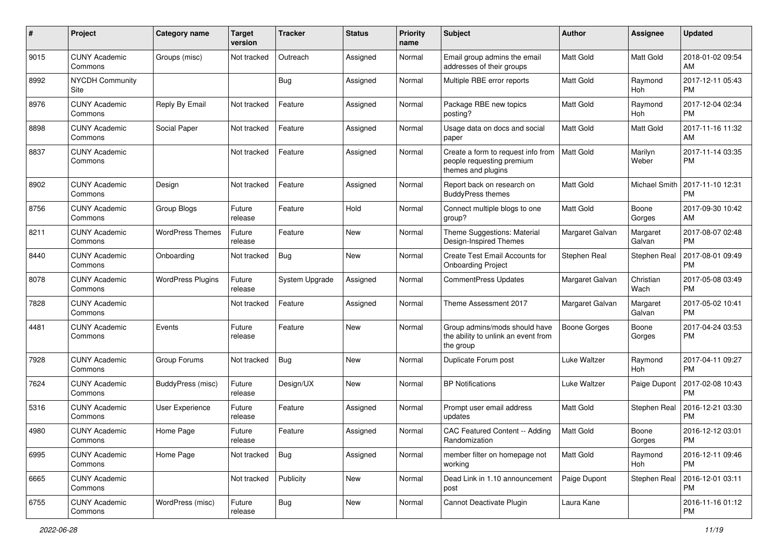| #    | Project                         | <b>Category name</b>     | <b>Target</b><br>version | <b>Tracker</b> | <b>Status</b> | <b>Priority</b><br>name | <b>Subject</b>                                                                        | Author           | <b>Assignee</b>       | <b>Updated</b>                |
|------|---------------------------------|--------------------------|--------------------------|----------------|---------------|-------------------------|---------------------------------------------------------------------------------------|------------------|-----------------------|-------------------------------|
| 9015 | <b>CUNY Academic</b><br>Commons | Groups (misc)            | Not tracked              | Outreach       | Assigned      | Normal                  | Email group admins the email<br>addresses of their groups                             | Matt Gold        | Matt Gold             | 2018-01-02 09:54<br>AM        |
| 8992 | <b>NYCDH Community</b><br>Site  |                          |                          | <b>Bug</b>     | Assigned      | Normal                  | Multiple RBE error reports                                                            | Matt Gold        | Raymond<br>Hoh        | 2017-12-11 05:43<br>РM        |
| 8976 | <b>CUNY Academic</b><br>Commons | Reply By Email           | Not tracked              | Feature        | Assigned      | Normal                  | Package RBE new topics<br>posting?                                                    | Matt Gold        | Raymond<br>Hoh        | 2017-12-04 02:34<br><b>PM</b> |
| 8898 | <b>CUNY Academic</b><br>Commons | Social Paper             | Not tracked              | Feature        | Assigned      | Normal                  | Usage data on docs and social<br>paper                                                | Matt Gold        | <b>Matt Gold</b>      | 2017-11-16 11:32<br>AM        |
| 8837 | <b>CUNY Academic</b><br>Commons |                          | Not tracked              | Feature        | Assigned      | Normal                  | Create a form to request info from<br>people requesting premium<br>themes and plugins | <b>Matt Gold</b> | Marilyn<br>Weber      | 2017-11-14 03:35<br><b>PM</b> |
| 8902 | <b>CUNY Academic</b><br>Commons | Design                   | Not tracked              | Feature        | Assigned      | Normal                  | Report back on research on<br><b>BuddyPress themes</b>                                | Matt Gold        | Michael Smith         | 2017-11-10 12:31<br><b>PM</b> |
| 8756 | <b>CUNY Academic</b><br>Commons | Group Blogs              | Future<br>release        | Feature        | Hold          | Normal                  | Connect multiple blogs to one<br>group?                                               | Matt Gold        | Boone<br>Gorges       | 2017-09-30 10:42<br>AM        |
| 8211 | <b>CUNY Academic</b><br>Commons | <b>WordPress Themes</b>  | Future<br>release        | Feature        | New           | Normal                  | Theme Suggestions: Material<br>Design-Inspired Themes                                 | Margaret Galvan  | Margaret<br>Galvan    | 2017-08-07 02:48<br><b>PM</b> |
| 8440 | <b>CUNY Academic</b><br>Commons | Onboarding               | Not tracked              | Bug            | New           | Normal                  | Create Test Email Accounts for<br><b>Onboarding Project</b>                           | Stephen Real     | Stephen Real          | 2017-08-01 09:49<br>РM        |
| 8078 | <b>CUNY Academic</b><br>Commons | <b>WordPress Plugins</b> | Future<br>release        | System Upgrade | Assigned      | Normal                  | <b>CommentPress Updates</b>                                                           | Margaret Galvan  | Christian<br>Wach     | 2017-05-08 03:49<br><b>PM</b> |
| 7828 | <b>CUNY Academic</b><br>Commons |                          | Not tracked              | Feature        | Assigned      | Normal                  | Theme Assessment 2017                                                                 | Margaret Galvan  | Margaret<br>Galvan    | 2017-05-02 10:41<br><b>PM</b> |
| 4481 | <b>CUNY Academic</b><br>Commons | Events                   | Future<br>release        | Feature        | New           | Normal                  | Group admins/mods should have<br>the ability to unlink an event from<br>the group     | Boone Gorges     | Boone<br>Gorges       | 2017-04-24 03:53<br><b>PM</b> |
| 7928 | <b>CUNY Academic</b><br>Commons | Group Forums             | Not tracked              | Bug            | New           | Normal                  | Duplicate Forum post                                                                  | Luke Waltzer     | Raymond<br><b>Hoh</b> | 2017-04-11 09:27<br><b>PM</b> |
| 7624 | <b>CUNY Academic</b><br>Commons | BuddyPress (misc)        | Future<br>release        | Design/UX      | New           | Normal                  | <b>BP</b> Notifications                                                               | Luke Waltzer     | Paige Dupont          | 2017-02-08 10:43<br><b>PM</b> |
| 5316 | <b>CUNY Academic</b><br>Commons | User Experience          | Future<br>release        | Feature        | Assigned      | Normal                  | Prompt user email address<br>updates                                                  | Matt Gold        | Stephen Real          | 2016-12-21 03:30<br>PМ        |
| 4980 | <b>CUNY Academic</b><br>Commons | Home Page                | Future<br>release        | Feature        | Assigned      | Normal                  | CAC Featured Content -- Adding<br>Randomization                                       | Matt Gold        | Boone<br>Gorges       | 2016-12-12 03:01<br>PM        |
| 6995 | <b>CUNY Academic</b><br>Commons | Home Page                | Not tracked              | Bug            | Assigned      | Normal                  | member filter on homepage not<br>working                                              | <b>Matt Gold</b> | Raymond<br>Hoh        | 2016-12-11 09:46<br>PM        |
| 6665 | <b>CUNY Academic</b><br>Commons |                          | Not tracked              | Publicity      | New           | Normal                  | Dead Link in 1.10 announcement<br>post                                                | Paige Dupont     | Stephen Real          | 2016-12-01 03:11<br><b>PM</b> |
| 6755 | <b>CUNY Academic</b><br>Commons | WordPress (misc)         | Future<br>release        | <b>Bug</b>     | New           | Normal                  | Cannot Deactivate Plugin                                                              | Laura Kane       |                       | 2016-11-16 01:12<br><b>PM</b> |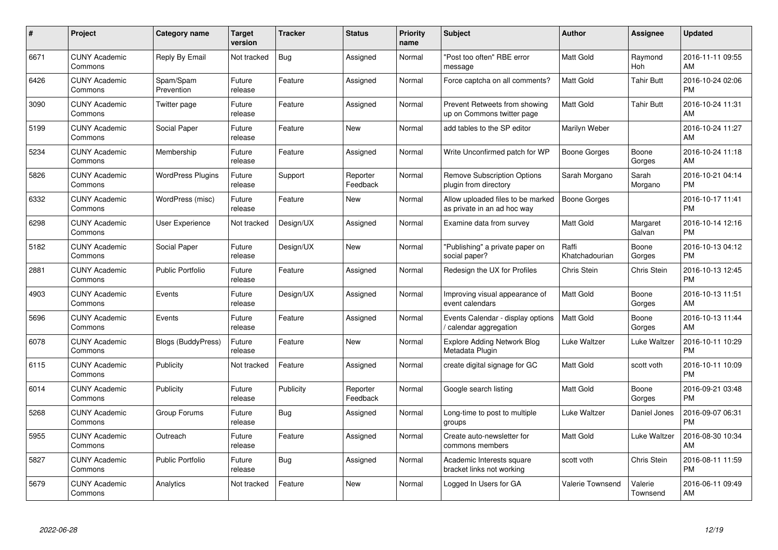| $\#$ | Project                         | Category name             | <b>Target</b><br>version | <b>Tracker</b> | <b>Status</b>        | <b>Priority</b><br>name | <b>Subject</b>                                                   | Author                  | Assignee            | <b>Updated</b>                |
|------|---------------------------------|---------------------------|--------------------------|----------------|----------------------|-------------------------|------------------------------------------------------------------|-------------------------|---------------------|-------------------------------|
| 6671 | <b>CUNY Academic</b><br>Commons | Reply By Email            | Not tracked              | <b>Bug</b>     | Assigned             | Normal                  | 'Post too often" RBE error<br>message                            | <b>Matt Gold</b>        | Raymond<br>Hoh      | 2016-11-11 09:55<br>AM        |
| 6426 | <b>CUNY Academic</b><br>Commons | Spam/Spam<br>Prevention   | Future<br>release        | Feature        | Assigned             | Normal                  | Force captcha on all comments?                                   | Matt Gold               | <b>Tahir Butt</b>   | 2016-10-24 02:06<br><b>PM</b> |
| 3090 | <b>CUNY Academic</b><br>Commons | Twitter page              | Future<br>release        | Feature        | Assigned             | Normal                  | Prevent Retweets from showing<br>up on Commons twitter page      | <b>Matt Gold</b>        | <b>Tahir Butt</b>   | 2016-10-24 11:31<br>AM        |
| 5199 | <b>CUNY Academic</b><br>Commons | Social Paper              | Future<br>release        | Feature        | <b>New</b>           | Normal                  | add tables to the SP editor                                      | Marilyn Weber           |                     | 2016-10-24 11:27<br>AM        |
| 5234 | <b>CUNY Academic</b><br>Commons | Membership                | Future<br>release        | Feature        | Assigned             | Normal                  | Write Unconfirmed patch for WP                                   | <b>Boone Gorges</b>     | Boone<br>Gorges     | 2016-10-24 11:18<br>AM        |
| 5826 | <b>CUNY Academic</b><br>Commons | <b>WordPress Plugins</b>  | Future<br>release        | Support        | Reporter<br>Feedback | Normal                  | <b>Remove Subscription Options</b><br>plugin from directory      | Sarah Morgano           | Sarah<br>Morgano    | 2016-10-21 04:14<br><b>PM</b> |
| 6332 | <b>CUNY Academic</b><br>Commons | WordPress (misc)          | Future<br>release        | Feature        | <b>New</b>           | Normal                  | Allow uploaded files to be marked<br>as private in an ad hoc way | <b>Boone Gorges</b>     |                     | 2016-10-17 11:41<br><b>PM</b> |
| 6298 | <b>CUNY Academic</b><br>Commons | <b>User Experience</b>    | Not tracked              | Design/UX      | Assigned             | Normal                  | Examine data from survey                                         | <b>Matt Gold</b>        | Margaret<br>Galvan  | 2016-10-14 12:16<br><b>PM</b> |
| 5182 | <b>CUNY Academic</b><br>Commons | Social Paper              | Future<br>release        | Design/UX      | <b>New</b>           | Normal                  | 'Publishing" a private paper on<br>social paper?                 | Raffi<br>Khatchadourian | Boone<br>Gorges     | 2016-10-13 04:12<br><b>PM</b> |
| 2881 | <b>CUNY Academic</b><br>Commons | <b>Public Portfolio</b>   | Future<br>release        | Feature        | Assigned             | Normal                  | Redesign the UX for Profiles                                     | <b>Chris Stein</b>      | Chris Stein         | 2016-10-13 12:45<br><b>PM</b> |
| 4903 | <b>CUNY Academic</b><br>Commons | Events                    | Future<br>release        | Design/UX      | Assigned             | Normal                  | Improving visual appearance of<br>event calendars                | Matt Gold               | Boone<br>Gorges     | 2016-10-13 11:51<br>AM        |
| 5696 | <b>CUNY Academic</b><br>Commons | Events                    | Future<br>release        | Feature        | Assigned             | Normal                  | Events Calendar - display options<br>calendar aggregation        | <b>Matt Gold</b>        | Boone<br>Gorges     | 2016-10-13 11:44<br>AM        |
| 6078 | <b>CUNY Academic</b><br>Commons | <b>Blogs (BuddyPress)</b> | Future<br>release        | Feature        | New                  | Normal                  | <b>Explore Adding Network Blog</b><br>Metadata Plugin            | Luke Waltzer            | Luke Waltzer        | 2016-10-11 10:29<br><b>PM</b> |
| 6115 | <b>CUNY Academic</b><br>Commons | Publicity                 | Not tracked              | Feature        | Assigned             | Normal                  | create digital signage for GC                                    | Matt Gold               | scott voth          | 2016-10-11 10:09<br><b>PM</b> |
| 6014 | <b>CUNY Academic</b><br>Commons | Publicity                 | Future<br>release        | Publicity      | Reporter<br>Feedback | Normal                  | Google search listing                                            | <b>Matt Gold</b>        | Boone<br>Gorges     | 2016-09-21 03:48<br><b>PM</b> |
| 5268 | <b>CUNY Academic</b><br>Commons | Group Forums              | Future<br>release        | Bug            | Assigned             | Normal                  | Long-time to post to multiple<br>groups                          | Luke Waltzer            | Daniel Jones        | 2016-09-07 06:31<br><b>PM</b> |
| 5955 | <b>CUNY Academic</b><br>Commons | Outreach                  | Future<br>release        | Feature        | Assigned             | Normal                  | Create auto-newsletter for<br>commons members                    | <b>Matt Gold</b>        | Luke Waltzer        | 2016-08-30 10:34<br>AM        |
| 5827 | <b>CUNY Academic</b><br>Commons | Public Portfolio          | Future<br>release        | <b>Bug</b>     | Assigned             | Normal                  | Academic Interests square<br>bracket links not working           | scott voth              | Chris Stein         | 2016-08-11 11:59<br><b>PM</b> |
| 5679 | <b>CUNY Academic</b><br>Commons | Analytics                 | Not tracked              | Feature        | <b>New</b>           | Normal                  | Logged In Users for GA                                           | Valerie Townsend        | Valerie<br>Townsend | 2016-06-11 09:49<br>AM        |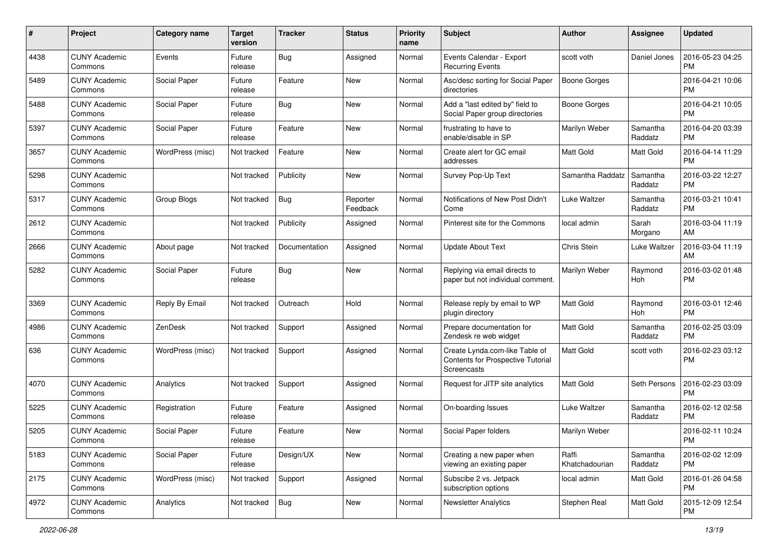| #    | Project                         | <b>Category name</b> | <b>Target</b><br>version | <b>Tracker</b> | <b>Status</b>        | <b>Priority</b><br>name | <b>Subject</b>                                                                     | Author                  | Assignee            | <b>Updated</b>                |
|------|---------------------------------|----------------------|--------------------------|----------------|----------------------|-------------------------|------------------------------------------------------------------------------------|-------------------------|---------------------|-------------------------------|
| 4438 | <b>CUNY Academic</b><br>Commons | Events               | Future<br>release        | <b>Bug</b>     | Assigned             | Normal                  | Events Calendar - Export<br><b>Recurring Events</b>                                | scott voth              | Daniel Jones        | 2016-05-23 04:25<br><b>PM</b> |
| 5489 | <b>CUNY Academic</b><br>Commons | Social Paper         | Future<br>release        | Feature        | <b>New</b>           | Normal                  | Asc/desc sorting for Social Paper<br>directories                                   | <b>Boone Gorges</b>     |                     | 2016-04-21 10:06<br><b>PM</b> |
| 5488 | <b>CUNY Academic</b><br>Commons | Social Paper         | Future<br>release        | <b>Bug</b>     | <b>New</b>           | Normal                  | Add a "last edited by" field to<br>Social Paper group directories                  | <b>Boone Gorges</b>     |                     | 2016-04-21 10:05<br>PM        |
| 5397 | <b>CUNY Academic</b><br>Commons | Social Paper         | Future<br>release        | Feature        | <b>New</b>           | Normal                  | frustrating to have to<br>enable/disable in SP                                     | Marilyn Weber           | Samantha<br>Raddatz | 2016-04-20 03:39<br><b>PM</b> |
| 3657 | <b>CUNY Academic</b><br>Commons | WordPress (misc)     | Not tracked              | Feature        | <b>New</b>           | Normal                  | Create alert for GC email<br>addresses                                             | <b>Matt Gold</b>        | Matt Gold           | 2016-04-14 11:29<br><b>PM</b> |
| 5298 | <b>CUNY Academic</b><br>Commons |                      | Not tracked              | Publicity      | <b>New</b>           | Normal                  | Survey Pop-Up Text                                                                 | Samantha Raddatz        | Samantha<br>Raddatz | 2016-03-22 12:27<br><b>PM</b> |
| 5317 | <b>CUNY Academic</b><br>Commons | Group Blogs          | Not tracked              | Bug            | Reporter<br>Feedback | Normal                  | Notifications of New Post Didn't<br>Come                                           | Luke Waltzer            | Samantha<br>Raddatz | 2016-03-21 10:41<br><b>PM</b> |
| 2612 | <b>CUNY Academic</b><br>Commons |                      | Not tracked              | Publicity      | Assigned             | Normal                  | Pinterest site for the Commons                                                     | local admin             | Sarah<br>Morgano    | 2016-03-04 11:19<br>AM        |
| 2666 | <b>CUNY Academic</b><br>Commons | About page           | Not tracked              | Documentation  | Assigned             | Normal                  | <b>Update About Text</b>                                                           | Chris Stein             | Luke Waltzer        | 2016-03-04 11:19<br>AM        |
| 5282 | CUNY Academic<br>Commons        | Social Paper         | Future<br>release        | <b>Bug</b>     | <b>New</b>           | Normal                  | Replying via email directs to<br>paper but not individual comment.                 | Marilyn Weber           | Raymond<br>Hoh      | 2016-03-02 01:48<br><b>PM</b> |
| 3369 | <b>CUNY Academic</b><br>Commons | Reply By Email       | Not tracked              | Outreach       | Hold                 | Normal                  | Release reply by email to WP<br>plugin directory                                   | <b>Matt Gold</b>        | Raymond<br>Hoh      | 2016-03-01 12:46<br>PM        |
| 4986 | <b>CUNY Academic</b><br>Commons | ZenDesk              | Not tracked              | Support        | Assigned             | Normal                  | Prepare documentation for<br>Zendesk re web widget                                 | <b>Matt Gold</b>        | Samantha<br>Raddatz | 2016-02-25 03:09<br><b>PM</b> |
| 636  | <b>CUNY Academic</b><br>Commons | WordPress (misc)     | Not tracked              | Support        | Assigned             | Normal                  | Create Lynda.com-like Table of<br>Contents for Prospective Tutorial<br>Screencasts | <b>Matt Gold</b>        | scott voth          | 2016-02-23 03:12<br><b>PM</b> |
| 4070 | <b>CUNY Academic</b><br>Commons | Analytics            | Not tracked              | Support        | Assigned             | Normal                  | Request for JITP site analytics                                                    | <b>Matt Gold</b>        | Seth Persons        | 2016-02-23 03:09<br><b>PM</b> |
| 5225 | <b>CUNY Academic</b><br>Commons | Registration         | Future<br>release        | Feature        | Assigned             | Normal                  | On-boarding Issues                                                                 | Luke Waltzer            | Samantha<br>Raddatz | 2016-02-12 02:58<br><b>PM</b> |
| 5205 | <b>CUNY Academic</b><br>Commons | Social Paper         | Future<br>release        | Feature        | <b>New</b>           | Normal                  | Social Paper folders                                                               | Marilyn Weber           |                     | 2016-02-11 10:24<br>PM        |
| 5183 | <b>CUNY Academic</b><br>Commons | Social Paper         | Future<br>release        | Design/UX      | New                  | Normal                  | Creating a new paper when<br>viewing an existing paper                             | Raffi<br>Khatchadourian | Samantha<br>Raddatz | 2016-02-02 12:09<br><b>PM</b> |
| 2175 | <b>CUNY Academic</b><br>Commons | WordPress (misc)     | Not tracked              | Support        | Assigned             | Normal                  | Subscibe 2 vs. Jetpack<br>subscription options                                     | local admin             | Matt Gold           | 2016-01-26 04:58<br>PM        |
| 4972 | <b>CUNY Academic</b><br>Commons | Analytics            | Not tracked              | <b>Bug</b>     | New                  | Normal                  | <b>Newsletter Analytics</b>                                                        | Stephen Real            | Matt Gold           | 2015-12-09 12:54<br><b>PM</b> |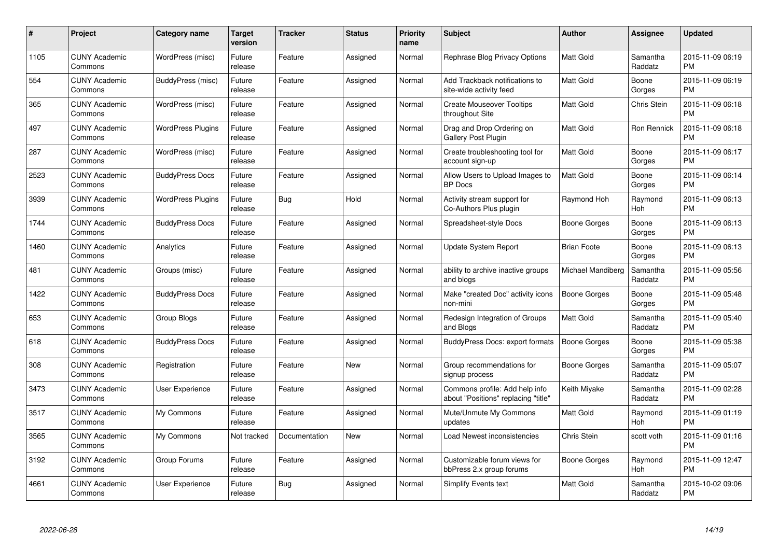| $\#$ | Project                         | <b>Category name</b>     | <b>Target</b><br>version | <b>Tracker</b> | <b>Status</b> | <b>Priority</b><br>name | <b>Subject</b>                                                        | Author              | <b>Assignee</b>       | <b>Updated</b>                |
|------|---------------------------------|--------------------------|--------------------------|----------------|---------------|-------------------------|-----------------------------------------------------------------------|---------------------|-----------------------|-------------------------------|
| 1105 | <b>CUNY Academic</b><br>Commons | WordPress (misc)         | Future<br>release        | Feature        | Assigned      | Normal                  | Rephrase Blog Privacy Options                                         | <b>Matt Gold</b>    | Samantha<br>Raddatz   | 2015-11-09 06:19<br><b>PM</b> |
| 554  | <b>CUNY Academic</b><br>Commons | BuddyPress (misc)        | Future<br>release        | Feature        | Assigned      | Normal                  | Add Trackback notifications to<br>site-wide activity feed             | <b>Matt Gold</b>    | Boone<br>Gorges       | 2015-11-09 06:19<br><b>PM</b> |
| 365  | <b>CUNY Academic</b><br>Commons | WordPress (misc)         | Future<br>release        | Feature        | Assigned      | Normal                  | <b>Create Mouseover Tooltips</b><br>throughout Site                   | Matt Gold           | Chris Stein           | 2015-11-09 06:18<br><b>PM</b> |
| 497  | <b>CUNY Academic</b><br>Commons | <b>WordPress Plugins</b> | Future<br>release        | Feature        | Assigned      | Normal                  | Drag and Drop Ordering on<br><b>Gallery Post Plugin</b>               | Matt Gold           | Ron Rennick           | 2015-11-09 06:18<br><b>PM</b> |
| 287  | <b>CUNY Academic</b><br>Commons | WordPress (misc)         | Future<br>release        | Feature        | Assigned      | Normal                  | Create troubleshooting tool for<br>account sign-up                    | <b>Matt Gold</b>    | Boone<br>Gorges       | 2015-11-09 06:17<br><b>PM</b> |
| 2523 | <b>CUNY Academic</b><br>Commons | <b>BuddyPress Docs</b>   | Future<br>release        | Feature        | Assigned      | Normal                  | Allow Users to Upload Images to<br><b>BP</b> Docs                     | <b>Matt Gold</b>    | Boone<br>Gorges       | 2015-11-09 06:14<br><b>PM</b> |
| 3939 | <b>CUNY Academic</b><br>Commons | <b>WordPress Plugins</b> | Future<br>release        | <b>Bug</b>     | Hold          | Normal                  | Activity stream support for<br>Co-Authors Plus plugin                 | Raymond Hoh         | Raymond<br>Hoh        | 2015-11-09 06:13<br><b>PM</b> |
| 1744 | <b>CUNY Academic</b><br>Commons | <b>BuddyPress Docs</b>   | Future<br>release        | Feature        | Assigned      | Normal                  | Spreadsheet-style Docs                                                | <b>Boone Gorges</b> | Boone<br>Gorges       | 2015-11-09 06:13<br><b>PM</b> |
| 1460 | <b>CUNY Academic</b><br>Commons | Analytics                | Future<br>release        | Feature        | Assigned      | Normal                  | Update System Report                                                  | <b>Brian Foote</b>  | Boone<br>Gorges       | 2015-11-09 06:13<br><b>PM</b> |
| 481  | <b>CUNY Academic</b><br>Commons | Groups (misc)            | Future<br>release        | Feature        | Assigned      | Normal                  | ability to archive inactive groups<br>and blogs                       | Michael Mandiberg   | Samantha<br>Raddatz   | 2015-11-09 05:56<br><b>PM</b> |
| 1422 | <b>CUNY Academic</b><br>Commons | <b>BuddyPress Docs</b>   | Future<br>release        | Feature        | Assigned      | Normal                  | Make "created Doc" activity icons<br>non-mini                         | Boone Gorges        | Boone<br>Gorges       | 2015-11-09 05:48<br><b>PM</b> |
| 653  | <b>CUNY Academic</b><br>Commons | Group Blogs              | Future<br>release        | Feature        | Assigned      | Normal                  | Redesign Integration of Groups<br>and Blogs                           | <b>Matt Gold</b>    | Samantha<br>Raddatz   | 2015-11-09 05:40<br><b>PM</b> |
| 618  | <b>CUNY Academic</b><br>Commons | <b>BuddyPress Docs</b>   | Future<br>release        | Feature        | Assigned      | Normal                  | BuddyPress Docs: export formats                                       | Boone Gorges        | Boone<br>Gorges       | 2015-11-09 05:38<br><b>PM</b> |
| 308  | <b>CUNY Academic</b><br>Commons | Registration             | Future<br>release        | Feature        | <b>New</b>    | Normal                  | Group recommendations for<br>signup process                           | Boone Gorges        | Samantha<br>Raddatz   | 2015-11-09 05:07<br><b>PM</b> |
| 3473 | <b>CUNY Academic</b><br>Commons | User Experience          | Future<br>release        | Feature        | Assigned      | Normal                  | Commons profile: Add help info<br>about "Positions" replacing "title" | Keith Miyake        | Samantha<br>Raddatz   | 2015-11-09 02:28<br><b>PM</b> |
| 3517 | <b>CUNY Academic</b><br>Commons | My Commons               | Future<br>release        | Feature        | Assigned      | Normal                  | Mute/Unmute My Commons<br>updates                                     | Matt Gold           | Raymond<br><b>Hoh</b> | 2015-11-09 01:19<br><b>PM</b> |
| 3565 | <b>CUNY Academic</b><br>Commons | My Commons               | Not tracked              | Documentation  | <b>New</b>    | Normal                  | Load Newest inconsistencies                                           | Chris Stein         | scott voth            | 2015-11-09 01:16<br><b>PM</b> |
| 3192 | <b>CUNY Academic</b><br>Commons | Group Forums             | Future<br>release        | Feature        | Assigned      | Normal                  | Customizable forum views for<br>bbPress 2.x group forums              | Boone Gorges        | Raymond<br>Hoh        | 2015-11-09 12:47<br><b>PM</b> |
| 4661 | CUNY Academic<br>Commons        | User Experience          | Future<br>release        | Bug            | Assigned      | Normal                  | <b>Simplify Events text</b>                                           | <b>Matt Gold</b>    | Samantha<br>Raddatz   | 2015-10-02 09:06<br>PM        |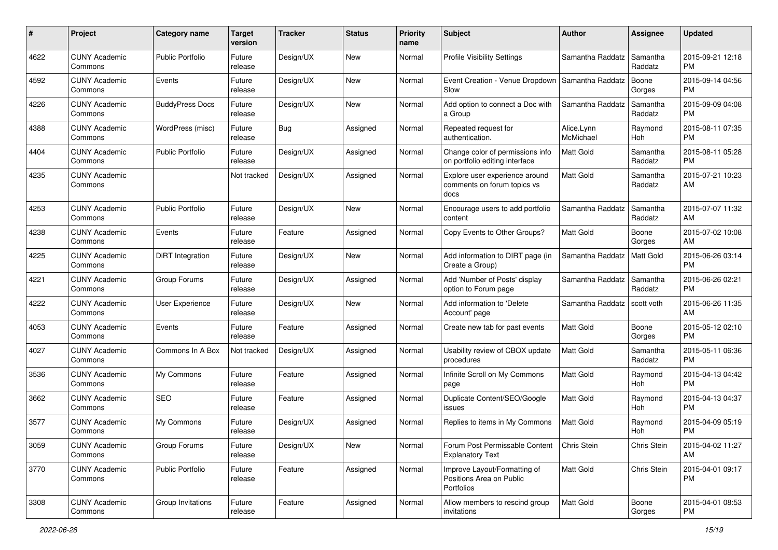| #    | Project                         | <b>Category name</b>    | <b>Target</b><br>version | <b>Tracker</b> | <b>Status</b> | <b>Priority</b><br>name | <b>Subject</b>                                                         | Author                  | <b>Assignee</b>     | <b>Updated</b>                |
|------|---------------------------------|-------------------------|--------------------------|----------------|---------------|-------------------------|------------------------------------------------------------------------|-------------------------|---------------------|-------------------------------|
| 4622 | <b>CUNY Academic</b><br>Commons | <b>Public Portfolio</b> | Future<br>release        | Design/UX      | New           | Normal                  | <b>Profile Visibility Settings</b>                                     | Samantha Raddatz        | Samantha<br>Raddatz | 2015-09-21 12:18<br><b>PM</b> |
| 4592 | <b>CUNY Academic</b><br>Commons | Events                  | Future<br>release        | Design/UX      | New           | Normal                  | Event Creation - Venue Dropdown<br>Slow                                | Samantha Raddatz        | Boone<br>Gorges     | 2015-09-14 04:56<br><b>PM</b> |
| 4226 | <b>CUNY Academic</b><br>Commons | <b>BuddyPress Docs</b>  | Future<br>release        | Design/UX      | <b>New</b>    | Normal                  | Add option to connect a Doc with<br>a Group                            | Samantha Raddatz        | Samantha<br>Raddatz | 2015-09-09 04:08<br><b>PM</b> |
| 4388 | <b>CUNY Academic</b><br>Commons | WordPress (misc)        | Future<br>release        | Bug            | Assigned      | Normal                  | Repeated request for<br>authentication.                                | Alice.Lynn<br>McMichael | Raymond<br>Hoh      | 2015-08-11 07:35<br><b>PM</b> |
| 4404 | <b>CUNY Academic</b><br>Commons | <b>Public Portfolio</b> | Future<br>release        | Design/UX      | Assigned      | Normal                  | Change color of permissions info<br>on portfolio editing interface     | <b>Matt Gold</b>        | Samantha<br>Raddatz | 2015-08-11 05:28<br><b>PM</b> |
| 4235 | <b>CUNY Academic</b><br>Commons |                         | Not tracked              | Design/UX      | Assigned      | Normal                  | Explore user experience around<br>comments on forum topics vs<br>docs  | <b>Matt Gold</b>        | Samantha<br>Raddatz | 2015-07-21 10:23<br>AM        |
| 4253 | <b>CUNY Academic</b><br>Commons | <b>Public Portfolio</b> | Future<br>release        | Design/UX      | <b>New</b>    | Normal                  | Encourage users to add portfolio<br>content                            | Samantha Raddatz        | Samantha<br>Raddatz | 2015-07-07 11:32<br>AM        |
| 4238 | <b>CUNY Academic</b><br>Commons | Events                  | Future<br>release        | Feature        | Assigned      | Normal                  | Copy Events to Other Groups?                                           | Matt Gold               | Boone<br>Gorges     | 2015-07-02 10:08<br>AM        |
| 4225 | <b>CUNY Academic</b><br>Commons | DiRT Integration        | Future<br>release        | Design/UX      | New           | Normal                  | Add information to DIRT page (in<br>Create a Group)                    | Samantha Raddatz        | Matt Gold           | 2015-06-26 03:14<br><b>PM</b> |
| 4221 | <b>CUNY Academic</b><br>Commons | Group Forums            | Future<br>release        | Design/UX      | Assigned      | Normal                  | Add 'Number of Posts' display<br>option to Forum page                  | Samantha Raddatz        | Samantha<br>Raddatz | 2015-06-26 02:21<br><b>PM</b> |
| 4222 | <b>CUNY Academic</b><br>Commons | User Experience         | Future<br>release        | Design/UX      | <b>New</b>    | Normal                  | Add information to 'Delete<br>Account' page                            | Samantha Raddatz        | scott voth          | 2015-06-26 11:35<br>AM        |
| 4053 | <b>CUNY Academic</b><br>Commons | Events                  | Future<br>release        | Feature        | Assigned      | Normal                  | Create new tab for past events                                         | Matt Gold               | Boone<br>Gorges     | 2015-05-12 02:10<br><b>PM</b> |
| 4027 | <b>CUNY Academic</b><br>Commons | Commons In A Box        | Not tracked              | Design/UX      | Assigned      | Normal                  | Usability review of CBOX update<br>procedures                          | <b>Matt Gold</b>        | Samantha<br>Raddatz | 2015-05-11 06:36<br><b>PM</b> |
| 3536 | <b>CUNY Academic</b><br>Commons | My Commons              | Future<br>release        | Feature        | Assigned      | Normal                  | Infinite Scroll on My Commons<br>page                                  | Matt Gold               | Raymond<br>Hoh      | 2015-04-13 04:42<br><b>PM</b> |
| 3662 | <b>CUNY Academic</b><br>Commons | <b>SEO</b>              | Future<br>release        | Feature        | Assigned      | Normal                  | Duplicate Content/SEO/Google<br>issues                                 | <b>Matt Gold</b>        | Raymond<br>Hoh      | 2015-04-13 04:37<br><b>PM</b> |
| 3577 | <b>CUNY Academic</b><br>Commons | My Commons              | Future<br>release        | Design/UX      | Assigned      | Normal                  | Replies to items in My Commons                                         | Matt Gold               | Raymond<br>Hoh      | 2015-04-09 05:19<br><b>PM</b> |
| 3059 | <b>CUNY Academic</b><br>Commons | <b>Group Forums</b>     | Future<br>release        | Design/UX      | New           | Normal                  | Forum Post Permissable Content<br><b>Explanatory Text</b>              | Chris Stein             | Chris Stein         | 2015-04-02 11:27<br>AM        |
| 3770 | <b>CUNY Academic</b><br>Commons | Public Portfolio        | Future<br>release        | Feature        | Assigned      | Normal                  | Improve Layout/Formatting of<br>Positions Area on Public<br>Portfolios | Matt Gold               | Chris Stein         | 2015-04-01 09:17<br>PM        |
| 3308 | <b>CUNY Academic</b><br>Commons | Group Invitations       | Future<br>release        | Feature        | Assigned      | Normal                  | Allow members to rescind group<br>invitations                          | Matt Gold               | Boone<br>Gorges     | 2015-04-01 08:53<br>PM        |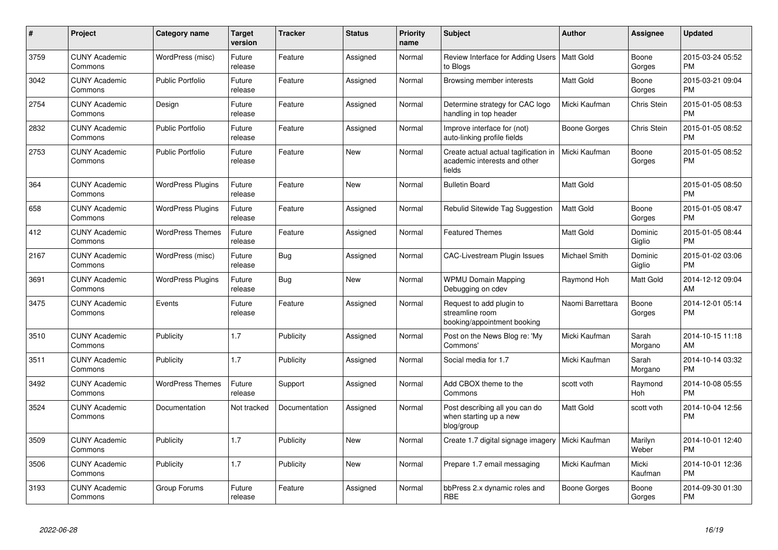| #    | Project                         | Category name            | <b>Target</b><br>version | <b>Tracker</b> | <b>Status</b> | Priority<br>name | <b>Subject</b>                                                                 | <b>Author</b>    | Assignee          | <b>Updated</b>                |
|------|---------------------------------|--------------------------|--------------------------|----------------|---------------|------------------|--------------------------------------------------------------------------------|------------------|-------------------|-------------------------------|
| 3759 | <b>CUNY Academic</b><br>Commons | WordPress (misc)         | Future<br>release        | Feature        | Assigned      | Normal           | Review Interface for Adding Users   Matt Gold<br>to Blogs                      |                  | Boone<br>Gorges   | 2015-03-24 05:52<br><b>PM</b> |
| 3042 | <b>CUNY Academic</b><br>Commons | <b>Public Portfolio</b>  | Future<br>release        | Feature        | Assigned      | Normal           | Browsing member interests                                                      | Matt Gold        | Boone<br>Gorges   | 2015-03-21 09:04<br><b>PM</b> |
| 2754 | <b>CUNY Academic</b><br>Commons | Design                   | Future<br>release        | Feature        | Assigned      | Normal           | Determine strategy for CAC logo<br>handling in top header                      | Micki Kaufman    | Chris Stein       | 2015-01-05 08:53<br><b>PM</b> |
| 2832 | <b>CUNY Academic</b><br>Commons | <b>Public Portfolio</b>  | Future<br>release        | Feature        | Assigned      | Normal           | Improve interface for (not)<br>auto-linking profile fields                     | Boone Gorges     | Chris Stein       | 2015-01-05 08:52<br><b>PM</b> |
| 2753 | <b>CUNY Academic</b><br>Commons | <b>Public Portfolio</b>  | Future<br>release        | Feature        | <b>New</b>    | Normal           | Create actual actual tagification in<br>academic interests and other<br>fields | Micki Kaufman    | Boone<br>Gorges   | 2015-01-05 08:52<br><b>PM</b> |
| 364  | <b>CUNY Academic</b><br>Commons | <b>WordPress Plugins</b> | Future<br>release        | Feature        | <b>New</b>    | Normal           | <b>Bulletin Board</b>                                                          | Matt Gold        |                   | 2015-01-05 08:50<br><b>PM</b> |
| 658  | <b>CUNY Academic</b><br>Commons | <b>WordPress Plugins</b> | Future<br>release        | Feature        | Assigned      | Normal           | Rebulid Sitewide Tag Suggestion                                                | <b>Matt Gold</b> | Boone<br>Gorges   | 2015-01-05 08:47<br><b>PM</b> |
| 412  | <b>CUNY Academic</b><br>Commons | <b>WordPress Themes</b>  | Future<br>release        | Feature        | Assigned      | Normal           | <b>Featured Themes</b>                                                         | Matt Gold        | Dominic<br>Giglio | 2015-01-05 08:44<br><b>PM</b> |
| 2167 | <b>CUNY Academic</b><br>Commons | WordPress (misc)         | Future<br>release        | <b>Bug</b>     | Assigned      | Normal           | CAC-Livestream Plugin Issues                                                   | Michael Smith    | Dominic<br>Giglio | 2015-01-02 03:06<br><b>PM</b> |
| 3691 | <b>CUNY Academic</b><br>Commons | <b>WordPress Plugins</b> | Future<br>release        | Bug            | New           | Normal           | <b>WPMU Domain Mapping</b><br>Debugging on cdev                                | Raymond Hoh      | Matt Gold         | 2014-12-12 09:04<br>AM        |
| 3475 | <b>CUNY Academic</b><br>Commons | Events                   | Future<br>release        | Feature        | Assigned      | Normal           | Request to add plugin to<br>streamline room<br>booking/appointment booking     | Naomi Barrettara | Boone<br>Gorges   | 2014-12-01 05:14<br><b>PM</b> |
| 3510 | <b>CUNY Academic</b><br>Commons | Publicity                | 1.7                      | Publicity      | Assigned      | Normal           | Post on the News Blog re: 'My<br>Commons'                                      | Micki Kaufman    | Sarah<br>Morgano  | 2014-10-15 11:18<br>AM        |
| 3511 | <b>CUNY Academic</b><br>Commons | Publicity                | 1.7                      | Publicity      | Assigned      | Normal           | Social media for 1.7                                                           | Micki Kaufman    | Sarah<br>Morgano  | 2014-10-14 03:32<br><b>PM</b> |
| 3492 | <b>CUNY Academic</b><br>Commons | <b>WordPress Themes</b>  | Future<br>release        | Support        | Assigned      | Normal           | Add CBOX theme to the<br>Commons                                               | scott voth       | Raymond<br>Hoh    | 2014-10-08 05:55<br><b>PM</b> |
| 3524 | <b>CUNY Academic</b><br>Commons | Documentation            | Not tracked              | Documentation  | Assigned      | Normal           | Post describing all you can do<br>when starting up a new<br>blog/group         | <b>Matt Gold</b> | scott voth        | 2014-10-04 12:56<br><b>PM</b> |
| 3509 | <b>CUNY Academic</b><br>Commons | Publicity                | 1.7                      | Publicity      | <b>New</b>    | Normal           | Create 1.7 digital signage imagery                                             | Micki Kaufman    | Marilyn<br>Weber  | 2014-10-01 12:40<br><b>PM</b> |
| 3506 | <b>CUNY Academic</b><br>Commons | Publicity                | 1.7                      | Publicity      | <b>New</b>    | Normal           | Prepare 1.7 email messaging                                                    | Micki Kaufman    | Micki<br>Kaufman  | 2014-10-01 12:36<br><b>PM</b> |
| 3193 | <b>CUNY Academic</b><br>Commons | Group Forums             | Future<br>release        | Feature        | Assigned      | Normal           | bbPress 2.x dynamic roles and<br><b>RBE</b>                                    | Boone Gorges     | Boone<br>Gorges   | 2014-09-30 01:30<br><b>PM</b> |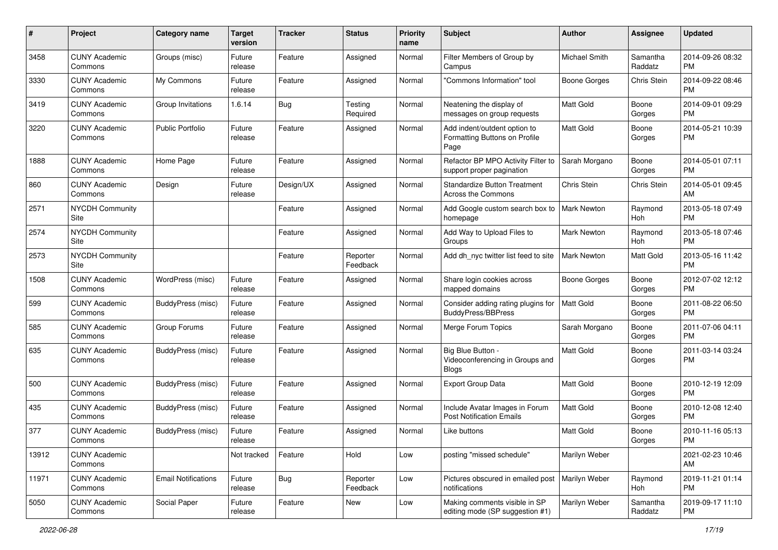| #     | Project                         | <b>Category name</b>       | <b>Target</b><br>version | <b>Tracker</b> | <b>Status</b>        | <b>Priority</b><br>name | <b>Subject</b>                                                        | Author              | <b>Assignee</b>     | <b>Updated</b>                |
|-------|---------------------------------|----------------------------|--------------------------|----------------|----------------------|-------------------------|-----------------------------------------------------------------------|---------------------|---------------------|-------------------------------|
| 3458  | <b>CUNY Academic</b><br>Commons | Groups (misc)              | Future<br>release        | Feature        | Assigned             | Normal                  | Filter Members of Group by<br>Campus                                  | Michael Smith       | Samantha<br>Raddatz | 2014-09-26 08:32<br>PM        |
| 3330  | <b>CUNY Academic</b><br>Commons | My Commons                 | Future<br>release        | Feature        | Assigned             | Normal                  | "Commons Information" tool                                            | <b>Boone Gorges</b> | Chris Stein         | 2014-09-22 08:46<br><b>PM</b> |
| 3419  | <b>CUNY Academic</b><br>Commons | Group Invitations          | 1.6.14                   | <b>Bug</b>     | Testing<br>Required  | Normal                  | Neatening the display of<br>messages on group requests                | <b>Matt Gold</b>    | Boone<br>Gorges     | 2014-09-01 09:29<br><b>PM</b> |
| 3220  | <b>CUNY Academic</b><br>Commons | <b>Public Portfolio</b>    | Future<br>release        | Feature        | Assigned             | Normal                  | Add indent/outdent option to<br>Formatting Buttons on Profile<br>Page | <b>Matt Gold</b>    | Boone<br>Gorges     | 2014-05-21 10:39<br>PM        |
| 1888  | <b>CUNY Academic</b><br>Commons | Home Page                  | Future<br>release        | Feature        | Assigned             | Normal                  | Refactor BP MPO Activity Filter to<br>support proper pagination       | Sarah Morgano       | Boone<br>Gorges     | 2014-05-01 07:11<br>PM        |
| 860   | <b>CUNY Academic</b><br>Commons | Design                     | Future<br>release        | Design/UX      | Assigned             | Normal                  | <b>Standardize Button Treatment</b><br>Across the Commons             | Chris Stein         | Chris Stein         | 2014-05-01 09:45<br>AM        |
| 2571  | <b>NYCDH Community</b><br>Site  |                            |                          | Feature        | Assigned             | Normal                  | Add Google custom search box to<br>homepage                           | <b>Mark Newton</b>  | Raymond<br>Hoh      | 2013-05-18 07:49<br><b>PM</b> |
| 2574  | <b>NYCDH Community</b><br>Site  |                            |                          | Feature        | Assigned             | Normal                  | Add Way to Upload Files to<br>Groups                                  | <b>Mark Newton</b>  | Raymond<br>Hoh      | 2013-05-18 07:46<br><b>PM</b> |
| 2573  | <b>NYCDH Community</b><br>Site  |                            |                          | Feature        | Reporter<br>Feedback | Normal                  | Add dh_nyc twitter list feed to site                                  | <b>Mark Newton</b>  | Matt Gold           | 2013-05-16 11:42<br>PM        |
| 1508  | <b>CUNY Academic</b><br>Commons | WordPress (misc)           | Future<br>release        | Feature        | Assigned             | Normal                  | Share login cookies across<br>mapped domains                          | <b>Boone Gorges</b> | Boone<br>Gorges     | 2012-07-02 12:12<br><b>PM</b> |
| 599   | <b>CUNY Academic</b><br>Commons | BuddyPress (misc)          | Future<br>release        | Feature        | Assigned             | Normal                  | Consider adding rating plugins for<br><b>BuddyPress/BBPress</b>       | Matt Gold           | Boone<br>Gorges     | 2011-08-22 06:50<br><b>PM</b> |
| 585   | <b>CUNY Academic</b><br>Commons | Group Forums               | Future<br>release        | Feature        | Assigned             | Normal                  | Merge Forum Topics                                                    | Sarah Morgano       | Boone<br>Gorges     | 2011-07-06 04:11<br><b>PM</b> |
| 635   | <b>CUNY Academic</b><br>Commons | BuddyPress (misc)          | Future<br>release        | Feature        | Assigned             | Normal                  | Big Blue Button -<br>Videoconferencing in Groups and<br>Blogs         | Matt Gold           | Boone<br>Gorges     | 2011-03-14 03:24<br><b>PM</b> |
| 500   | <b>CUNY Academic</b><br>Commons | BuddyPress (misc)          | Future<br>release        | Feature        | Assigned             | Normal                  | Export Group Data                                                     | Matt Gold           | Boone<br>Gorges     | 2010-12-19 12:09<br><b>PM</b> |
| 435   | <b>CUNY Academic</b><br>Commons | BuddyPress (misc)          | Future<br>release        | Feature        | Assigned             | Normal                  | Include Avatar Images in Forum<br><b>Post Notification Emails</b>     | Matt Gold           | Boone<br>Gorges     | 2010-12-08 12:40<br>PM        |
| 377   | <b>CUNY Academic</b><br>Commons | BuddyPress (misc)          | Future<br>release        | Feature        | Assigned             | Normal                  | Like buttons                                                          | Matt Gold           | Boone<br>Gorges     | 2010-11-16 05:13<br>PM        |
| 13912 | <b>CUNY Academic</b><br>Commons |                            | Not tracked              | Feature        | Hold                 | Low                     | posting "missed schedule"                                             | Marilyn Weber       |                     | 2021-02-23 10:46<br>AM        |
| 11971 | <b>CUNY Academic</b><br>Commons | <b>Email Notifications</b> | Future<br>release        | Bug            | Reporter<br>Feedback | Low                     | Pictures obscured in emailed post<br>notifications                    | Marilyn Weber       | Raymond<br>Hoh      | 2019-11-21 01:14<br><b>PM</b> |
| 5050  | <b>CUNY Academic</b><br>Commons | Social Paper               | Future<br>release        | Feature        | New                  | Low                     | Making comments visible in SP<br>editing mode (SP suggestion #1)      | Marilyn Weber       | Samantha<br>Raddatz | 2019-09-17 11:10<br><b>PM</b> |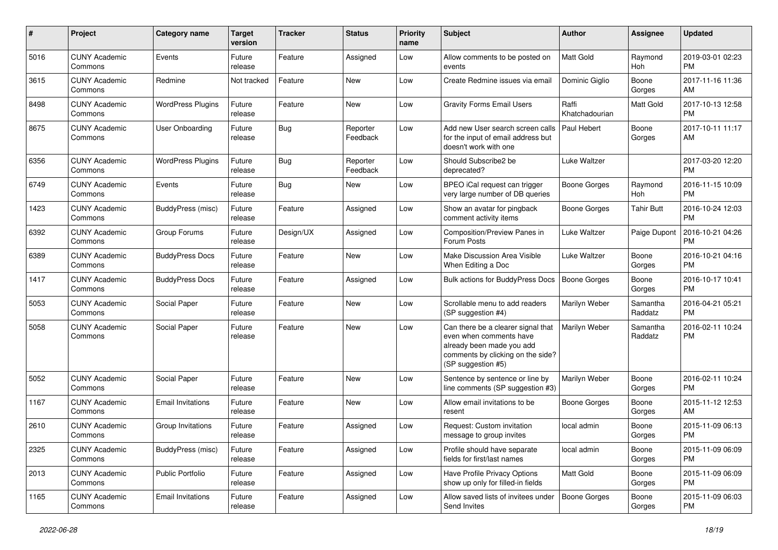| #    | Project                         | <b>Category name</b>     | <b>Target</b><br>version | <b>Tracker</b> | <b>Status</b>        | <b>Priority</b><br>name | Subject                                                                                                                                               | Author                  | <b>Assignee</b>     | <b>Updated</b>                |
|------|---------------------------------|--------------------------|--------------------------|----------------|----------------------|-------------------------|-------------------------------------------------------------------------------------------------------------------------------------------------------|-------------------------|---------------------|-------------------------------|
| 5016 | <b>CUNY Academic</b><br>Commons | Events                   | Future<br>release        | Feature        | Assigned             | Low                     | Allow comments to be posted on<br>events                                                                                                              | <b>Matt Gold</b>        | Raymond<br>Hoh      | 2019-03-01 02:23<br><b>PM</b> |
| 3615 | <b>CUNY Academic</b><br>Commons | Redmine                  | Not tracked              | Feature        | New                  | Low                     | Create Redmine issues via email                                                                                                                       | Dominic Giglio          | Boone<br>Gorges     | 2017-11-16 11:36<br>AM        |
| 8498 | <b>CUNY Academic</b><br>Commons | <b>WordPress Plugins</b> | Future<br>release        | Feature        | New                  | Low                     | <b>Gravity Forms Email Users</b>                                                                                                                      | Raffi<br>Khatchadourian | <b>Matt Gold</b>    | 2017-10-13 12:58<br><b>PM</b> |
| 8675 | <b>CUNY Academic</b><br>Commons | <b>User Onboarding</b>   | Future<br>release        | Bug            | Reporter<br>Feedback | Low                     | Add new User search screen calls<br>for the input of email address but<br>doesn't work with one                                                       | Paul Hebert             | Boone<br>Gorges     | 2017-10-11 11:17<br>AM        |
| 6356 | <b>CUNY Academic</b><br>Commons | <b>WordPress Plugins</b> | Future<br>release        | Bug            | Reporter<br>Feedback | Low                     | Should Subscribe2 be<br>deprecated?                                                                                                                   | Luke Waltzer            |                     | 2017-03-20 12:20<br><b>PM</b> |
| 6749 | <b>CUNY Academic</b><br>Commons | Events                   | Future<br>release        | <b>Bug</b>     | New                  | Low                     | BPEO iCal request can trigger<br>very large number of DB queries                                                                                      | Boone Gorges            | Raymond<br>Hoh      | 2016-11-15 10:09<br><b>PM</b> |
| 1423 | <b>CUNY Academic</b><br>Commons | BuddyPress (misc)        | Future<br>release        | Feature        | Assigned             | Low                     | Show an avatar for pingback<br>comment activity items                                                                                                 | <b>Boone Gorges</b>     | <b>Tahir Butt</b>   | 2016-10-24 12:03<br><b>PM</b> |
| 6392 | <b>CUNY Academic</b><br>Commons | Group Forums             | Future<br>release        | Design/UX      | Assigned             | Low                     | Composition/Preview Panes in<br>Forum Posts                                                                                                           | Luke Waltzer            | Paige Dupont        | 2016-10-21 04:26<br><b>PM</b> |
| 6389 | <b>CUNY Academic</b><br>Commons | <b>BuddyPress Docs</b>   | Future<br>release        | Feature        | <b>New</b>           | Low                     | Make Discussion Area Visible<br>When Editing a Doc                                                                                                    | Luke Waltzer            | Boone<br>Gorges     | 2016-10-21 04:16<br><b>PM</b> |
| 1417 | <b>CUNY Academic</b><br>Commons | <b>BuddyPress Docs</b>   | Future<br>release        | Feature        | Assigned             | Low                     | Bulk actions for BuddyPress Docs                                                                                                                      | <b>Boone Gorges</b>     | Boone<br>Gorges     | 2016-10-17 10:41<br><b>PM</b> |
| 5053 | <b>CUNY Academic</b><br>Commons | Social Paper             | Future<br>release        | Feature        | <b>New</b>           | Low                     | Scrollable menu to add readers<br>(SP suggestion #4)                                                                                                  | Marilyn Weber           | Samantha<br>Raddatz | 2016-04-21 05:21<br><b>PM</b> |
| 5058 | <b>CUNY Academic</b><br>Commons | Social Paper             | Future<br>release        | Feature        | <b>New</b>           | Low                     | Can there be a clearer signal that<br>even when comments have<br>already been made you add<br>comments by clicking on the side?<br>(SP suggestion #5) | Marilyn Weber           | Samantha<br>Raddatz | 2016-02-11 10:24<br><b>PM</b> |
| 5052 | <b>CUNY Academic</b><br>Commons | Social Paper             | Future<br>release        | Feature        | <b>New</b>           | Low                     | Sentence by sentence or line by<br>line comments (SP suggestion #3)                                                                                   | Marilyn Weber           | Boone<br>Gorges     | 2016-02-11 10:24<br><b>PM</b> |
| 1167 | <b>CUNY Academic</b><br>Commons | <b>Email Invitations</b> | Future<br>release        | Feature        | New                  | Low                     | Allow email invitations to be<br>resent                                                                                                               | <b>Boone Gorges</b>     | Boone<br>Gorges     | 2015-11-12 12:53<br>AM        |
| 2610 | <b>CUNY Academic</b><br>Commons | Group Invitations        | Future<br>release        | Feature        | Assigned             | Low                     | Request: Custom invitation<br>message to group invites                                                                                                | local admin             | Boone<br>Gorges     | 2015-11-09 06:13<br><b>PM</b> |
| 2325 | <b>CUNY Academic</b><br>Commons | BuddyPress (misc)        | Future<br>release        | Feature        | Assigned             | Low                     | Profile should have separate<br>fields for first/last names                                                                                           | local admin             | Boone<br>Gorges     | 2015-11-09 06:09<br><b>PM</b> |
| 2013 | <b>CUNY Academic</b><br>Commons | Public Portfolio         | Future<br>release        | Feature        | Assigned             | Low                     | Have Profile Privacy Options<br>show up only for filled-in fields                                                                                     | Matt Gold               | Boone<br>Gorges     | 2015-11-09 06:09<br><b>PM</b> |
| 1165 | <b>CUNY Academic</b><br>Commons | <b>Email Invitations</b> | Future<br>release        | Feature        | Assigned             | Low                     | Allow saved lists of invitees under<br>Send Invites                                                                                                   | <b>Boone Gorges</b>     | Boone<br>Gorges     | 2015-11-09 06:03<br><b>PM</b> |